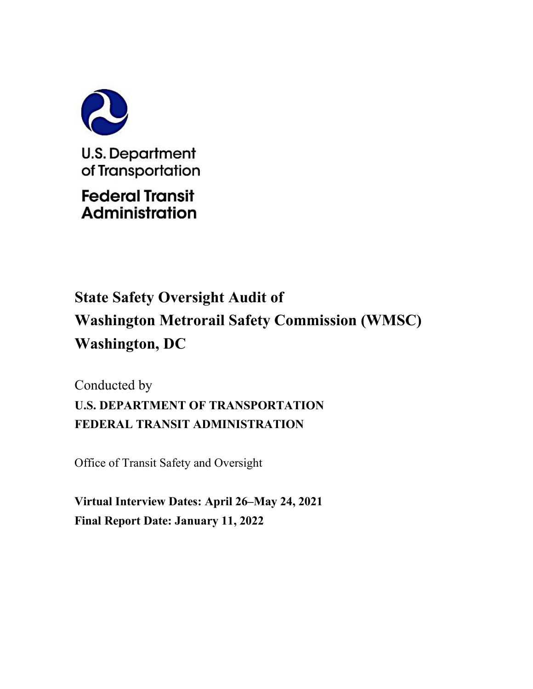

# **Administration**

## **State Safety Oversight Audit of Washington Metrorail Safety Commission (WMSC) Washington, DC**

Conducted by **U.S. DEPARTMENT OF TRANSPORTATION FEDERAL TRANSIT ADMINISTRATION**

Office of Transit Safety and Oversight

**Virtual Interview Dates: April 26–May 24, 2021 Final Report Date: January 11, 2022**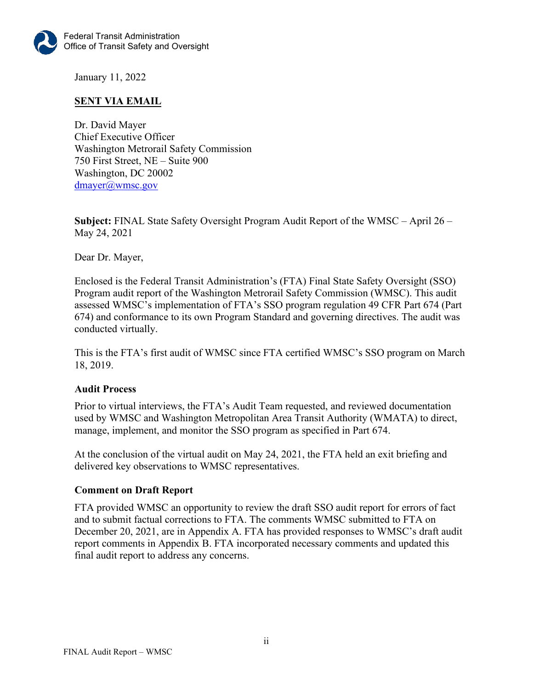

January 11, 2022

## **SENT VIA EMAIL**

Dr. David Mayer Chief Executive Officer Washington Metrorail Safety Commission 750 First Street, NE – Suite 900 Washington, DC 20002 [dmayer@wmsc.gov](mailto:dmayer@wmsc.gov) 

**Subject:** FINAL State Safety Oversight Program Audit Report of the WMSC – April 26 – May 24, 2021

Dear Dr. Mayer,

Enclosed is the Federal Transit Administration's (FTA) Final State Safety Oversight (SSO) Program audit report of the Washington Metrorail Safety Commission (WMSC). This audit assessed WMSC's implementation of FTA's SSO program regulation 49 CFR Part 674 (Part 674) and conformance to its own Program Standard and governing directives. The audit was conducted virtually.

This is the FTA's first audit of WMSC since FTA certified WMSC's SSO program on March 18, 2019.

#### **Audit Process**

Prior to virtual interviews, the FTA's Audit Team requested, and reviewed documentation used by WMSC and Washington Metropolitan Area Transit Authority (WMATA) to direct, manage, implement, and monitor the SSO program as specified in Part 674.

At the conclusion of the virtual audit on May 24, 2021, the FTA held an exit briefing and delivered key observations to WMSC representatives.

## **Comment on Draft Report**

FTA provided WMSC an opportunity to review the draft SSO audit report for errors of fact and to submit factual corrections to FTA. The comments WMSC submitted to FTA on December 20, 2021, are in Appendix A. FTA has provided responses to WMSC's draft audit report comments in Appendix B. FTA incorporated necessary comments and updated this final audit report to address any concerns.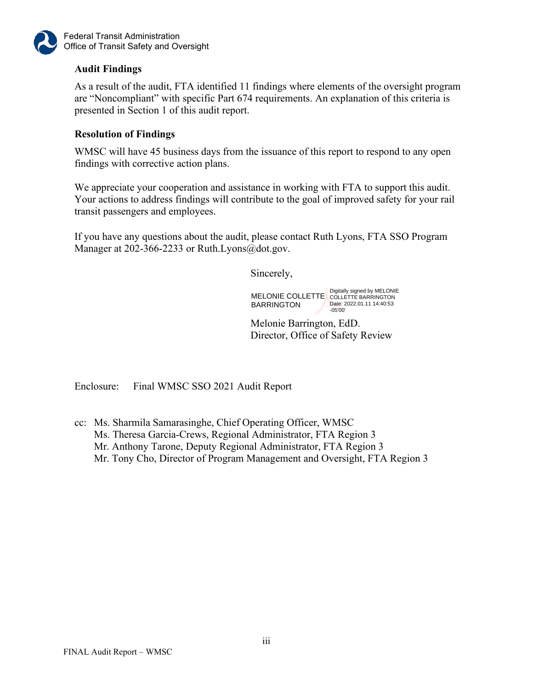

Federal Transit Administration Office of Transit Safety and Oversight

## **Audit Findings**

As a result of the audit, FTA identified 11 findings where elements of the oversight program are "Noncompliant" with specific Part 674 requirements. An explanation of this criteria is presented in Section 1 of this audit report.

## **Resolution of Findings**

WMSC will have 45 business days from the issuance of this report to respond to any open findings with corrective action plans.

We appreciate your cooperation and assistance in working with FTA to support this audit. Your actions to address findings will contribute to the goal of improved safety for your rail transit passengers and employees.

If you have any questions about the audit, please contact Ruth Lyons, FTA SSO Program Manager at 202-366-2233 or Ruth.Lyons@dot.gov.

Sincerely,

MELONIE COLLETTE COLLETTE BARRINGTON BARRINGTON Date: 2022.01.11 14:40:53 -05'00'

Melonie Barrington, EdD. Director, Office of Safety Review

Enclosure: Final WMSC SSO 2021 Audit Report

cc: Ms. Sharmila Samarasinghe, Chief Operating Officer, WMSC Ms. Theresa Garcia-Crews, Regional Administrator, FTA Region 3 Mr. Anthony Tarone, Deputy Regional Administrator, FTA Region 3 Mr. Tony Cho, Director of Program Management and Oversight, FTA Region 3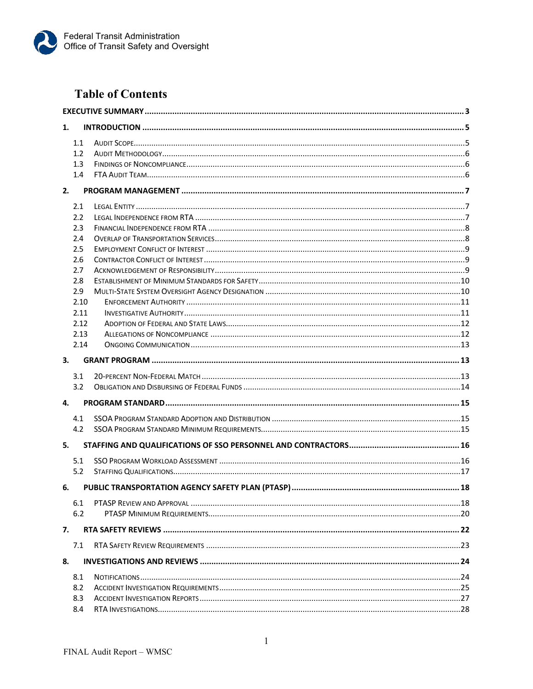

## **Table of Contents**

| 1. |      |  |  |
|----|------|--|--|
|    | 1.1  |  |  |
|    | 1.2  |  |  |
|    | 1.3  |  |  |
|    | 1.4  |  |  |
| 2. |      |  |  |
|    | 2.1  |  |  |
|    | 2.2  |  |  |
|    | 2.3  |  |  |
|    | 2.4  |  |  |
|    | 2.5  |  |  |
|    | 2.6  |  |  |
|    | 2.7  |  |  |
|    | 2.8  |  |  |
|    | 2.9  |  |  |
|    | 2.10 |  |  |
|    | 2.11 |  |  |
|    | 2.12 |  |  |
|    | 2.13 |  |  |
|    | 2.14 |  |  |
| 3. |      |  |  |
|    | 3.1  |  |  |
|    | 3.2  |  |  |
| 4. |      |  |  |
|    | 4.1  |  |  |
|    | 4.2  |  |  |
| 5. |      |  |  |
|    | 5.1  |  |  |
|    | 5.2  |  |  |
| 6. |      |  |  |
|    |      |  |  |
|    | 6.1  |  |  |
|    | 6.2  |  |  |
| 7. |      |  |  |
|    | 7.1  |  |  |
| 8. |      |  |  |
|    | 8.1  |  |  |
|    | 8.2  |  |  |
|    | 8.3  |  |  |
|    | 8.4  |  |  |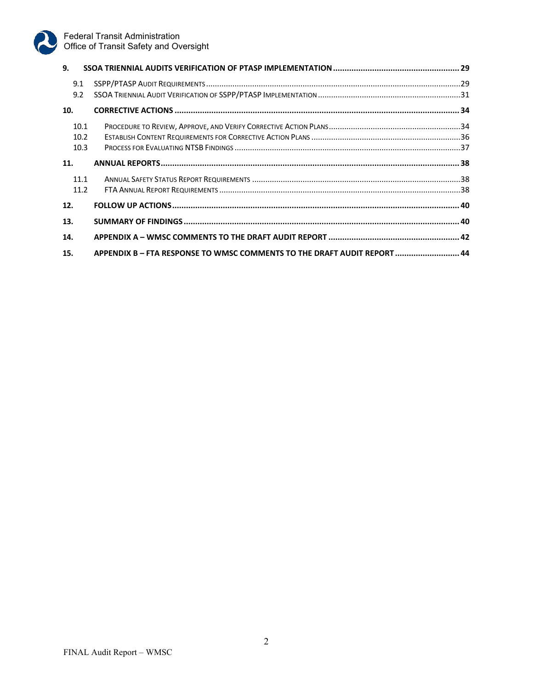

| 9.   |                                                                        |  |
|------|------------------------------------------------------------------------|--|
| 9.1  |                                                                        |  |
| 9.2  |                                                                        |  |
| 10.  |                                                                        |  |
| 10.1 |                                                                        |  |
| 10.2 |                                                                        |  |
| 10.3 |                                                                        |  |
| 11.  |                                                                        |  |
| 11.1 |                                                                        |  |
| 11.2 |                                                                        |  |
| 12.  |                                                                        |  |
| 13.  |                                                                        |  |
| 14.  |                                                                        |  |
| 15.  | APPENDIX B-FTA RESPONSE TO WMSC COMMENTS TO THE DRAFT AUDIT REPORT  44 |  |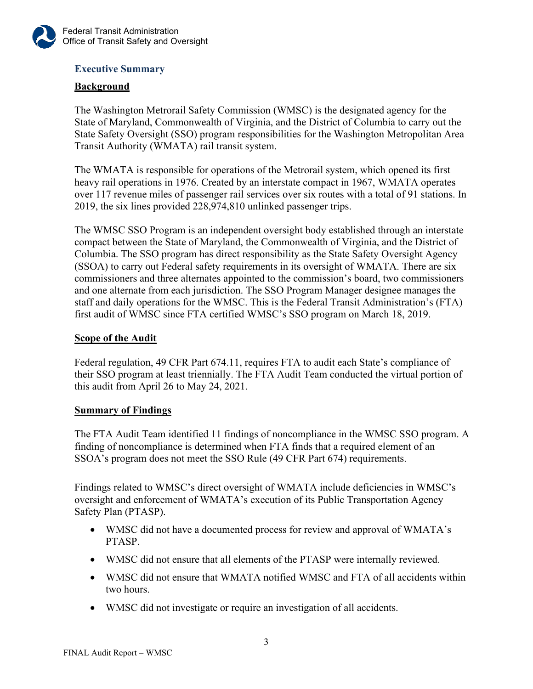

## <span id="page-5-0"></span>**Executive Summary**

## **Background**

The Washington Metrorail Safety Commission (WMSC) is the designated agency for the State of Maryland, Commonwealth of Virginia, and the District of Columbia to carry out the State Safety Oversight (SSO) program responsibilities for the Washington Metropolitan Area Transit Authority (WMATA) rail transit system.

The WMATA is responsible for operations of the Metrorail system, which opened its first heavy rail operations in 1976. Created by an interstate compact in 1967, WMATA operates over 117 revenue miles of passenger rail services over six routes with a total of 91 stations. In 2019, the six lines provided 228,974,810 unlinked passenger trips.

The WMSC SSO Program is an independent oversight body established through an interstate compact between the State of Maryland, the Commonwealth of Virginia, and the District of Columbia. The SSO program has direct responsibility as the State Safety Oversight Agency (SSOA) to carry out Federal safety requirements in its oversight of WMATA. There are six commissioners and three alternates appointed to the commission's board, two commissioners and one alternate from each jurisdiction. The SSO Program Manager designee manages the staff and daily operations for the WMSC. This is the Federal Transit Administration's (FTA) first audit of WMSC since FTA certified WMSC's SSO program on March 18, 2019.

## **Scope of the Audit**

Federal regulation, 49 CFR Part 674.11, requires FTA to audit each State's compliance of their SSO program at least triennially. The FTA Audit Team conducted the virtual portion of this audit from April 26 to May 24, 2021.

## **Summary of Findings**

The FTA Audit Team identified 11 findings of noncompliance in the WMSC SSO program. A finding of noncompliance is determined when FTA finds that a required element of an SSOA's program does not meet the SSO Rule (49 CFR Part 674) requirements.

Findings related to WMSC's direct oversight of WMATA include deficiencies in WMSC's oversight and enforcement of WMATA's execution of its Public Transportation Agency Safety Plan (PTASP).

- WMSC did not have a documented process for review and approval of WMATA's PTASP.
- WMSC did not ensure that all elements of the PTASP were internally reviewed.
- WMSC did not ensure that WMATA notified WMSC and FTA of all accidents within two hours.
- WMSC did not investigate or require an investigation of all accidents.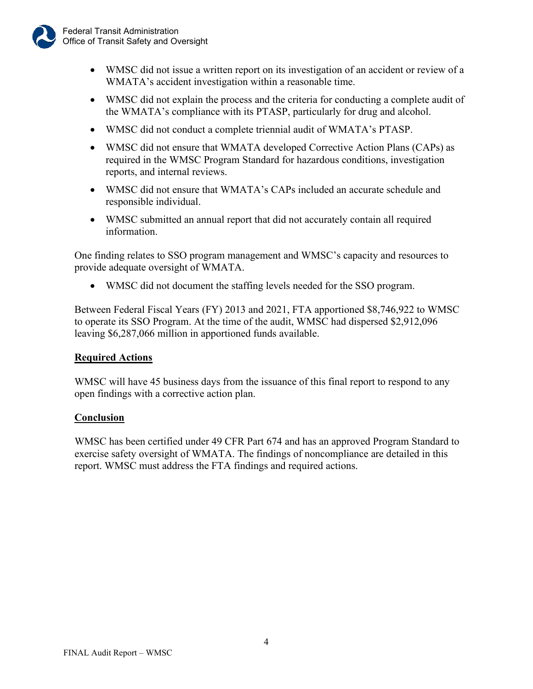

- WMSC did not issue a written report on its investigation of an accident or review of a WMATA's accident investigation within a reasonable time.
- WMSC did not explain the process and the criteria for conducting a complete audit of the WMATA's compliance with its PTASP, particularly for drug and alcohol.
- WMSC did not conduct a complete triennial audit of WMATA's PTASP.
- WMSC did not ensure that WMATA developed Corrective Action Plans (CAPs) as required in the WMSC Program Standard for hazardous conditions, investigation reports, and internal reviews.
- WMSC did not ensure that WMATA's CAPs included an accurate schedule and responsible individual.
- WMSC submitted an annual report that did not accurately contain all required information.

One finding relates to SSO program management and WMSC's capacity and resources to provide adequate oversight of WMATA.

• WMSC did not document the staffing levels needed for the SSO program.

Between Federal Fiscal Years (FY) 2013 and 2021, FTA apportioned \$8,746,922 to WMSC to operate its SSO Program. At the time of the audit, WMSC had dispersed \$2,912,096 leaving \$6,287,066 million in apportioned funds available.

## **Required Actions**

WMSC will have 45 business days from the issuance of this final report to respond to any open findings with a corrective action plan.

## **Conclusion**

WMSC has been certified under 49 CFR Part 674 and has an approved Program Standard to exercise safety oversight of WMATA. The findings of noncompliance are detailed in this report. WMSC must address the FTA findings and required actions.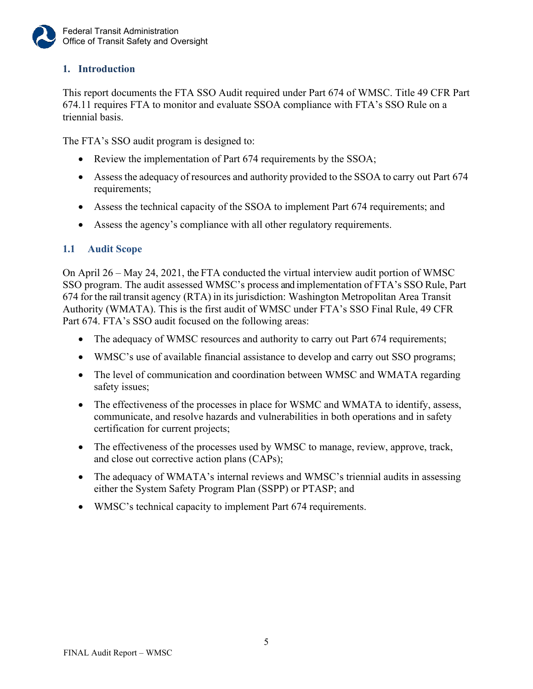

## <span id="page-7-0"></span>**1. Introduction**

This report documents the FTA SSO Audit required under Part 674 of WMSC. Title 49 CFR Part 674.11 requires FTA to monitor and evaluate SSOA compliance with FTA's SSO Rule on a triennial basis.

The FTA's SSO audit program is designed to:

- Review the implementation of Part 674 requirements by the SSOA;
- Assess the adequacy of resources and authority provided to the SSOA to carry out Part 674 requirements;
- Assess the technical capacity of the SSOA to implement Part 674 requirements; and
- Assess the agency's compliance with all other regulatory requirements.

## <span id="page-7-1"></span>**1.1 Audit Scope**

On April 26 – May 24, 2021, the FTA conducted the virtual interview audit portion of WMSC SSO program. The audit assessed WMSC's process and implementation of FTA's SSO Rule, Part 674 for the rail transit agency (RTA) in its jurisdiction: Washington Metropolitan Area Transit Authority (WMATA). This is the first audit of WMSC under FTA's SSO Final Rule, 49 CFR Part 674. FTA's SSO audit focused on the following areas:

- The adequacy of WMSC resources and authority to carry out Part 674 requirements;
- WMSC's use of available financial assistance to develop and carry out SSO programs;
- The level of communication and coordination between WMSC and WMATA regarding safety issues;
- The effectiveness of the processes in place for WSMC and WMATA to identify, assess, communicate, and resolve hazards and vulnerabilities in both operations and in safety certification for current projects;
- The effectiveness of the processes used by WMSC to manage, review, approve, track, and close out corrective action plans (CAPs);
- The adequacy of WMATA's internal reviews and WMSC's triennial audits in assessing either the System Safety Program Plan (SSPP) or PTASP; and
- WMSC's technical capacity to implement Part 674 requirements.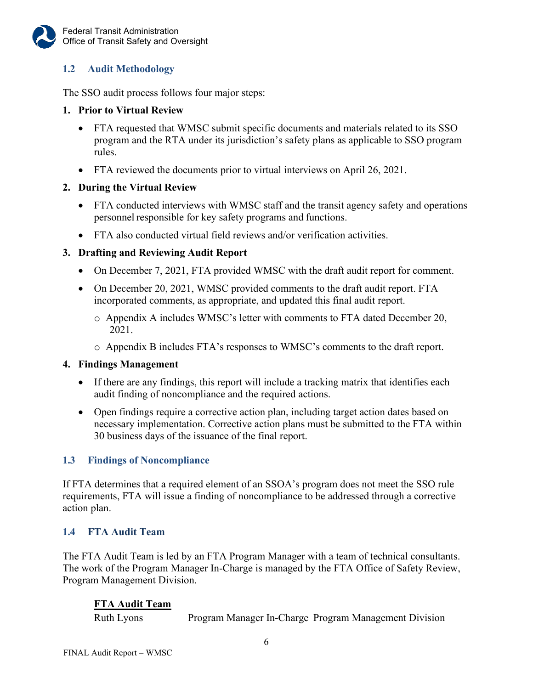## <span id="page-8-0"></span>**1.2 Audit Methodology**

The SSO audit process follows four major steps:

#### **1. Prior to Virtual Review**

- FTA requested that WMSC submit specific documents and materials related to its SSO program and the RTA under its jurisdiction's safety plans as applicable to SSO program rules.
- FTA reviewed the documents prior to virtual interviews on April 26, 2021.

#### **2. During the Virtual Review**

- FTA conducted interviews with WMSC staff and the transit agency safety and operations personnel responsible for key safety programs and functions.
- FTA also conducted virtual field reviews and/or verification activities.

## **3. Drafting and Reviewing Audit Report**

- On December 7, 2021, FTA provided WMSC with the draft audit report for comment.
- On December 20, 2021, WMSC provided comments to the draft audit report. FTA incorporated comments, as appropriate, and updated this final audit report.
	- o Appendix A includes WMSC's letter with comments to FTA dated December 20, 2021.
	- o Appendix B includes FTA's responses to WMSC's comments to the draft report.

#### **4. Findings Management**

- If there are any findings, this report will include a tracking matrix that identifies each audit finding of noncompliance and the required actions.
- Open findings require a corrective action plan, including target action dates based on necessary implementation. Corrective action plans must be submitted to the FTA within 30 business days of the issuance of the final report.

## <span id="page-8-1"></span>**1.3 Findings of Noncompliance**

If FTA determines that a required element of an SSOA's program does not meet the SSO rule requirements, FTA will issue a finding of noncompliance to be addressed through a corrective action plan.

## <span id="page-8-2"></span>**1.4 FTA Audit Team**

The FTA Audit Team is led by an FTA Program Manager with a team of technical consultants. The work of the Program Manager In-Charge is managed by the FTA Office of Safety Review, Program Management Division.

## **FTA Audit Team**

Ruth Lyons Program Manager In-Charge Program Management Division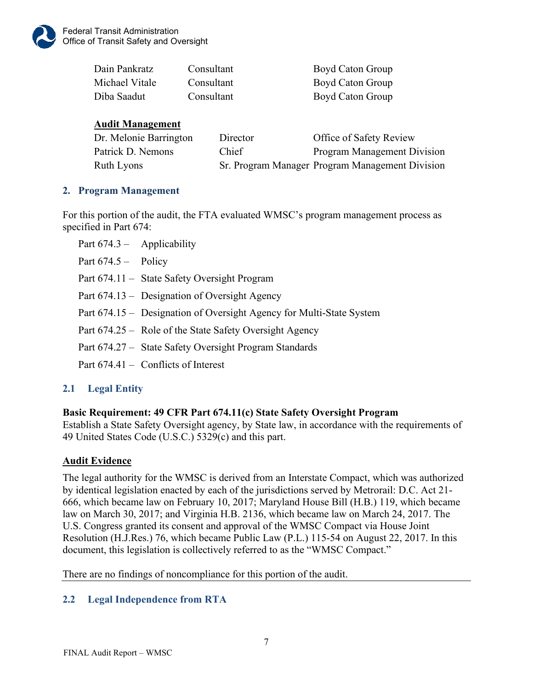

| Dain Pankratz  | Consultant | Boyd Caton Group |
|----------------|------------|------------------|
| Michael Vitale | Consultant | Boyd Caton Group |
| Diba Saadut    | Consultant | Boyd Caton Group |

## **Audit Management**

| Dr. Melonie Barrington | Director | Office of Safety Review                         |
|------------------------|----------|-------------------------------------------------|
| Patrick D. Nemons      | Chief    | Program Management Division                     |
| Ruth Lyons             |          | Sr. Program Manager Program Management Division |

## <span id="page-9-0"></span>**2. Program Management**

For this portion of the audit, the FTA evaluated WMSC's program management process as specified in Part 674:

| Part $674.3 -$ Applicability |                                                                      |
|------------------------------|----------------------------------------------------------------------|
| Part $674.5 -$ Policy        |                                                                      |
|                              | Part 674.11 - State Safety Oversight Program                         |
|                              | Part 674.13 – Designation of Oversight Agency                        |
|                              | Part 674.15 – Designation of Oversight Agency for Multi-State System |
|                              | Part 674.25 – Role of the State Safety Oversight Agency              |
|                              | Part 674.27 - State Safety Oversight Program Standards               |
|                              | Part $674.41$ – Conflicts of Interest                                |

## <span id="page-9-1"></span>**2.1 Legal Entity**

## **Basic Requirement: 49 CFR Part 674.11(c) State Safety Oversight Program**

Establish a State Safety Oversight agency, by State law, in accordance with the requirements of 49 United States Code (U.S.C.) 5329(c) and this part.

## **Audit Evidence**

The legal authority for the WMSC is derived from an Interstate Compact, which was authorized by identical legislation enacted by each of the jurisdictions served by Metrorail: D.C. Act 21- 666, which became law on February 10, 2017; Maryland House Bill (H.B.) 119, which became law on March 30, 2017; and Virginia H.B. 2136, which became law on March 24, 2017. The U.S. Congress granted its consent and approval of the WMSC Compact via House Joint Resolution (H.J.Res.) 76, which became Public Law (P.L.) 115-54 on August 22, 2017. In this document, this legislation is collectively referred to as the "WMSC Compact."

There are no findings of noncompliance for this portion of the audit.

## <span id="page-9-2"></span>**2.2 Legal Independence from RTA**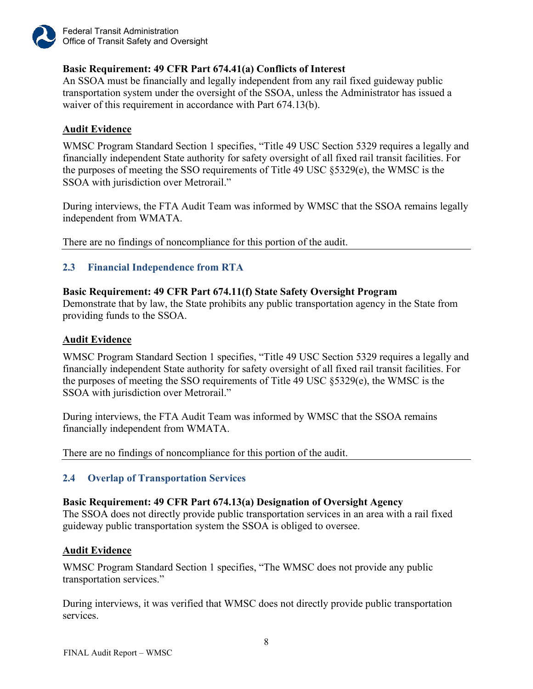

## **Basic Requirement: 49 CFR Part 674.41(a) Conflicts of Interest**

An SSOA must be financially and legally independent from any rail fixed guideway public transportation system under the oversight of the SSOA, unless the Administrator has issued a waiver of this requirement in accordance with Part 674.13(b).

## **Audit Evidence**

WMSC Program Standard Section 1 specifies, "Title 49 USC Section 5329 requires a legally and financially independent State authority for safety oversight of all fixed rail transit facilities. For the purposes of meeting the SSO requirements of Title 49 USC §5329(e), the WMSC is the SSOA with jurisdiction over Metrorail."

During interviews, the FTA Audit Team was informed by WMSC that the SSOA remains legally independent from WMATA.

There are no findings of noncompliance for this portion of the audit.

## <span id="page-10-0"></span>**2.3 Financial Independence from RTA**

#### **Basic Requirement: 49 CFR Part 674.11(f) State Safety Oversight Program**

Demonstrate that by law, the State prohibits any public transportation agency in the State from providing funds to the SSOA.

## **Audit Evidence**

WMSC Program Standard Section 1 specifies, "Title 49 USC Section 5329 requires a legally and financially independent State authority for safety oversight of all fixed rail transit facilities. For the purposes of meeting the SSO requirements of Title 49 USC §5329(e), the WMSC is the SSOA with jurisdiction over Metrorail."

During interviews, the FTA Audit Team was informed by WMSC that the SSOA remains financially independent from WMATA.

There are no findings of noncompliance for this portion of the audit.

## <span id="page-10-1"></span>**2.4 Overlap of Transportation Services**

#### **Basic Requirement: 49 CFR Part 674.13(a) Designation of Oversight Agency**

The SSOA does not directly provide public transportation services in an area with a rail fixed guideway public transportation system the SSOA is obliged to oversee.

#### **Audit Evidence**

WMSC Program Standard Section 1 specifies, "The WMSC does not provide any public transportation services."

During interviews, it was verified that WMSC does not directly provide public transportation services.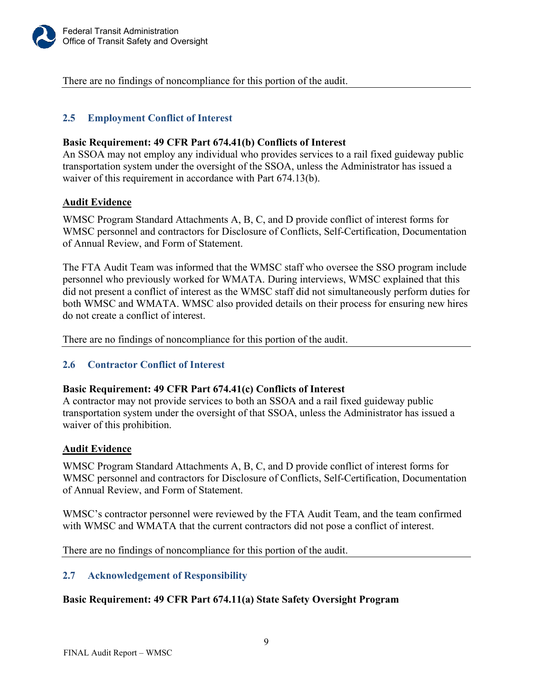

There are no findings of noncompliance for this portion of the audit.

## <span id="page-11-0"></span>**2.5 Employment Conflict of Interest**

#### **Basic Requirement: 49 CFR Part 674.41(b) Conflicts of Interest**

An SSOA may not employ any individual who provides services to a rail fixed guideway public transportation system under the oversight of the SSOA, unless the Administrator has issued a waiver of this requirement in accordance with Part 674.13(b).

#### **Audit Evidence**

WMSC Program Standard Attachments A, B, C, and D provide conflict of interest forms for WMSC personnel and contractors for Disclosure of Conflicts, Self-Certification, Documentation of Annual Review, and Form of Statement.

The FTA Audit Team was informed that the WMSC staff who oversee the SSO program include personnel who previously worked for WMATA. During interviews, WMSC explained that this did not present a conflict of interest as the WMSC staff did not simultaneously perform duties for both WMSC and WMATA. WMSC also provided details on their process for ensuring new hires do not create a conflict of interest.

There are no findings of noncompliance for this portion of the audit.

## <span id="page-11-1"></span>**2.6 Contractor Conflict of Interest**

#### **Basic Requirement: 49 CFR Part 674.41(c) Conflicts of Interest**

A contractor may not provide services to both an SSOA and a rail fixed guideway public transportation system under the oversight of that SSOA, unless the Administrator has issued a waiver of this prohibition.

#### **Audit Evidence**

WMSC Program Standard Attachments A, B, C, and D provide conflict of interest forms for WMSC personnel and contractors for Disclosure of Conflicts, Self-Certification, Documentation of Annual Review, and Form of Statement.

WMSC's contractor personnel were reviewed by the FTA Audit Team, and the team confirmed with WMSC and WMATA that the current contractors did not pose a conflict of interest.

There are no findings of noncompliance for this portion of the audit.

#### <span id="page-11-2"></span>**2.7 Acknowledgement of Responsibility**

#### **Basic Requirement: 49 CFR Part 674.11(a) State Safety Oversight Program**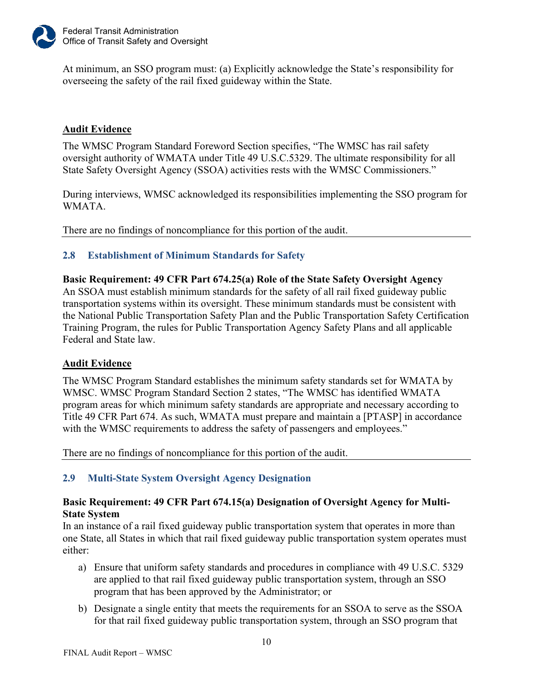

At minimum, an SSO program must: (a) Explicitly acknowledge the State's responsibility for overseeing the safety of the rail fixed guideway within the State.

## **Audit Evidence**

The WMSC Program Standard Foreword Section specifies, "The WMSC has rail safety oversight authority of WMATA under Title 49 U.S.C.5329. The ultimate responsibility for all State Safety Oversight Agency (SSOA) activities rests with the WMSC Commissioners."

During interviews, WMSC acknowledged its responsibilities implementing the SSO program for WMATA.

There are no findings of noncompliance for this portion of the audit.

## <span id="page-12-0"></span>**2.8 Establishment of Minimum Standards for Safety**

**Basic Requirement: 49 CFR Part 674.25(a) Role of the State Safety Oversight Agency** An SSOA must establish minimum standards for the safety of all rail fixed guideway public transportation systems within its oversight. These minimum standards must be consistent with the National Public Transportation Safety Plan and the Public Transportation Safety Certification Training Program, the rules for Public Transportation Agency Safety Plans and all applicable Federal and State law.

## **Audit Evidence**

The WMSC Program Standard establishes the minimum safety standards set for WMATA by WMSC. WMSC Program Standard Section 2 states, "The WMSC has identified WMATA program areas for which minimum safety standards are appropriate and necessary according to Title 49 CFR Part 674. As such, WMATA must prepare and maintain a [PTASP] in accordance with the WMSC requirements to address the safety of passengers and employees."

There are no findings of noncompliance for this portion of the audit.

## <span id="page-12-1"></span>**2.9 Multi-State System Oversight Agency Designation**

#### **Basic Requirement: 49 CFR Part 674.15(a) Designation of Oversight Agency for Multi-State System**

In an instance of a rail fixed guideway public transportation system that operates in more than one State, all States in which that rail fixed guideway public transportation system operates must either:

- a) Ensure that uniform safety standards and procedures in compliance with 49 U.S.C. 5329 are applied to that rail fixed guideway public transportation system, through an SSO program that has been approved by the Administrator; or
- b) Designate a single entity that meets the requirements for an SSOA to serve as the SSOA for that rail fixed guideway public transportation system, through an SSO program that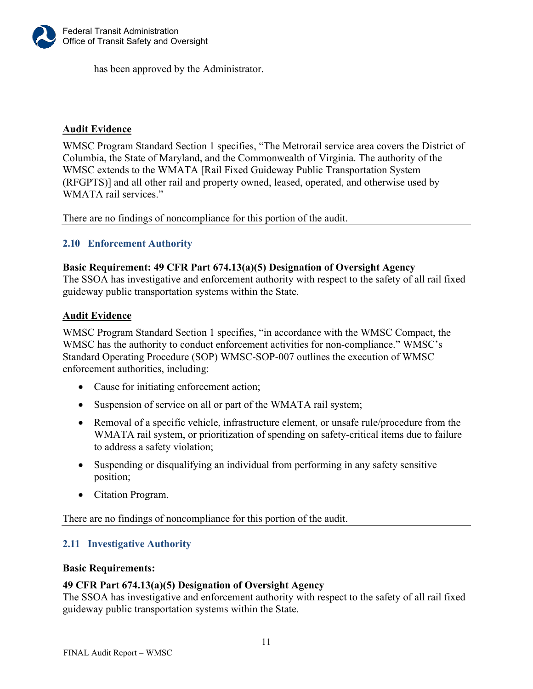

has been approved by the Administrator.

## **Audit Evidence**

WMSC Program Standard Section 1 specifies, "The Metrorail service area covers the District of Columbia, the State of Maryland, and the Commonwealth of Virginia. The authority of the WMSC extends to the WMATA [Rail Fixed Guideway Public Transportation System (RFGPTS)] and all other rail and property owned, leased, operated, and otherwise used by WMATA rail services."

There are no findings of noncompliance for this portion of the audit.

#### <span id="page-13-0"></span>**2.10 Enforcement Authority**

#### **Basic Requirement: 49 CFR Part 674.13(a)(5) Designation of Oversight Agency**

The SSOA has investigative and enforcement authority with respect to the safety of all rail fixed guideway public transportation systems within the State.

#### **Audit Evidence**

WMSC Program Standard Section 1 specifies, "in accordance with the WMSC Compact, the WMSC has the authority to conduct enforcement activities for non-compliance." WMSC's Standard Operating Procedure (SOP) WMSC-SOP-007 outlines the execution of WMSC enforcement authorities, including:

- Cause for initiating enforcement action;
- Suspension of service on all or part of the WMATA rail system;
- Removal of a specific vehicle, infrastructure element, or unsafe rule/procedure from the WMATA rail system, or prioritization of spending on safety-critical items due to failure to address a safety violation;
- Suspending or disqualifying an individual from performing in any safety sensitive position;
- Citation Program.

There are no findings of noncompliance for this portion of the audit.

## <span id="page-13-1"></span>**2.11 Investigative Authority**

#### **Basic Requirements:**

#### **49 CFR Part 674.13(a)(5) Designation of Oversight Agency**

The SSOA has investigative and enforcement authority with respect to the safety of all rail fixed guideway public transportation systems within the State.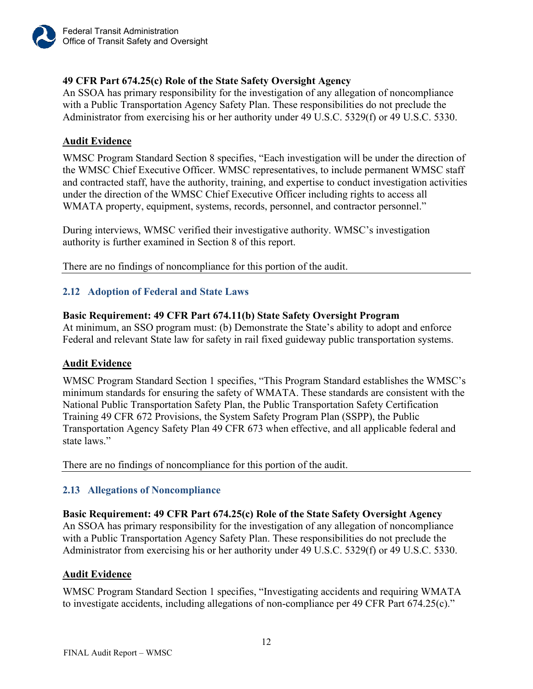

## **49 CFR Part 674.25(c) Role of the State Safety Oversight Agency**

An SSOA has primary responsibility for the investigation of any allegation of noncompliance with a Public Transportation Agency Safety Plan. These responsibilities do not preclude the Administrator from exercising his or her authority under 49 U.S.C. 5329(f) or 49 U.S.C. 5330.

## **Audit Evidence**

WMSC Program Standard Section 8 specifies, "Each investigation will be under the direction of the WMSC Chief Executive Officer. WMSC representatives, to include permanent WMSC staff and contracted staff, have the authority, training, and expertise to conduct investigation activities under the direction of the WMSC Chief Executive Officer including rights to access all WMATA property, equipment, systems, records, personnel, and contractor personnel."

During interviews, WMSC verified their investigative authority. WMSC's investigation authority is further examined in Section 8 of this report.

There are no findings of noncompliance for this portion of the audit.

## <span id="page-14-0"></span>**2.12 Adoption of Federal and State Laws**

## **Basic Requirement: 49 CFR Part 674.11(b) State Safety Oversight Program**

At minimum, an SSO program must: (b) Demonstrate the State's ability to adopt and enforce Federal and relevant State law for safety in rail fixed guideway public transportation systems.

## **Audit Evidence**

WMSC Program Standard Section 1 specifies, "This Program Standard establishes the WMSC's minimum standards for ensuring the safety of WMATA. These standards are consistent with the National Public Transportation Safety Plan, the Public Transportation Safety Certification Training 49 CFR 672 Provisions, the System Safety Program Plan (SSPP), the Public Transportation Agency Safety Plan 49 CFR 673 when effective, and all applicable federal and state laws."

There are no findings of noncompliance for this portion of the audit.

## <span id="page-14-1"></span>**2.13 Allegations of Noncompliance**

## **Basic Requirement: 49 CFR Part 674.25(c) Role of the State Safety Oversight Agency**

An SSOA has primary responsibility for the investigation of any allegation of noncompliance with a Public Transportation Agency Safety Plan. These responsibilities do not preclude the Administrator from exercising his or her authority under 49 U.S.C. 5329(f) or 49 U.S.C. 5330.

#### **Audit Evidence**

WMSC Program Standard Section 1 specifies, "Investigating accidents and requiring WMATA to investigate accidents, including allegations of non-compliance per 49 CFR Part 674.25(c)."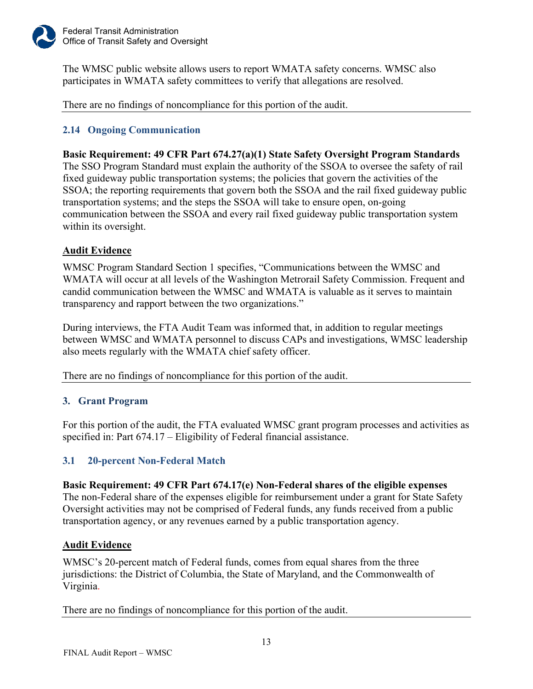

The WMSC public website allows users to report WMATA safety concerns. WMSC also participates in WMATA safety committees to verify that allegations are resolved.

There are no findings of noncompliance for this portion of the audit.

## <span id="page-15-0"></span>**2.14 Ongoing Communication**

#### **Basic Requirement: 49 CFR Part 674.27(a)(1) State Safety Oversight Program Standards**

The SSO Program Standard must explain the authority of the SSOA to oversee the safety of rail fixed guideway public transportation systems; the policies that govern the activities of the SSOA; the reporting requirements that govern both the SSOA and the rail fixed guideway public transportation systems; and the steps the SSOA will take to ensure open, on-going communication between the SSOA and every rail fixed guideway public transportation system within its oversight.

## **Audit Evidence**

WMSC Program Standard Section 1 specifies, "Communications between the WMSC and WMATA will occur at all levels of the Washington Metrorail Safety Commission. Frequent and candid communication between the WMSC and WMATA is valuable as it serves to maintain transparency and rapport between the two organizations."

During interviews, the FTA Audit Team was informed that, in addition to regular meetings between WMSC and WMATA personnel to discuss CAPs and investigations, WMSC leadership also meets regularly with the WMATA chief safety officer.

There are no findings of noncompliance for this portion of the audit.

## <span id="page-15-1"></span>**3. Grant Program**

For this portion of the audit, the FTA evaluated WMSC grant program processes and activities as specified in: Part 674.17 – Eligibility of Federal financial assistance.

## <span id="page-15-2"></span>**3.1 20-percent Non-Federal Match**

## **Basic Requirement: 49 CFR Part 674.17(e) Non-Federal shares of the eligible expenses** The non-Federal share of the expenses eligible for reimbursement under a grant for State Safety

Oversight activities may not be comprised of Federal funds, any funds received from a public transportation agency, or any revenues earned by a public transportation agency.

## **Audit Evidence**

WMSC's 20-percent match of Federal funds, comes from equal shares from the three jurisdictions: the District of Columbia, the State of Maryland, and the Commonwealth of Virginia.

There are no findings of noncompliance for this portion of the audit.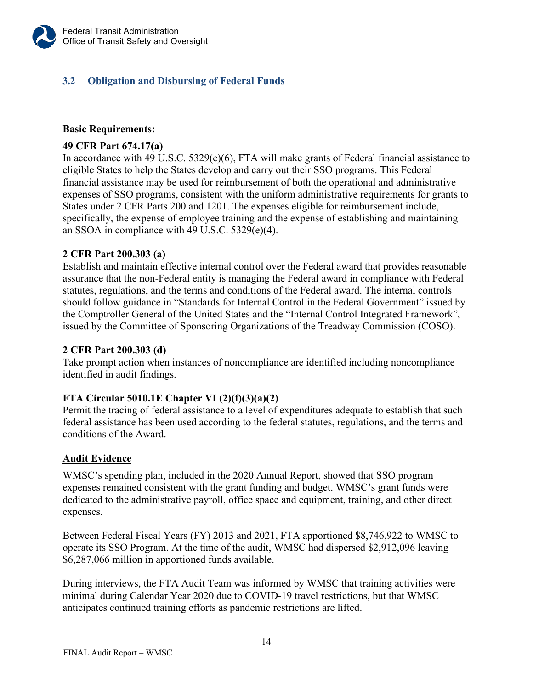## <span id="page-16-0"></span>**3.2 Obligation and Disbursing of Federal Funds**

## **Basic Requirements:**

## **49 CFR Part 674.17(a)**

In accordance with 49 U.S.C.  $5329(e)(6)$ , FTA will make grants of Federal financial assistance to eligible States to help the States develop and carry out their SSO programs. This Federal financial assistance may be used for reimbursement of both the operational and administrative expenses of SSO programs, consistent with the uniform administrative requirements for grants to States under 2 CFR Parts 200 and 1201. The expenses eligible for reimbursement include, specifically, the expense of employee training and the expense of establishing and maintaining an SSOA in compliance with 49 U.S.C. 5329(e)(4).

#### **2 CFR Part 200.303 (a)**

Establish and maintain effective internal control over the Federal award that provides reasonable assurance that the non-Federal entity is managing the Federal award in compliance with Federal statutes, regulations, and the terms and conditions of the Federal award. The internal controls should follow guidance in "Standards for Internal Control in the Federal Government" issued by the Comptroller General of the United States and the "Internal Control Integrated Framework", issued by the Committee of Sponsoring Organizations of the Treadway Commission (COSO).

#### **2 CFR Part 200.303 (d)**

Take prompt action when instances of noncompliance are identified including noncompliance identified in audit findings.

## **FTA Circular 5010.1E Chapter VI (2)(f)(3)(a)(2)**

Permit the tracing of federal assistance to a level of expenditures adequate to establish that such federal assistance has been used according to the federal statutes, regulations, and the terms and conditions of the Award.

#### **Audit Evidence**

WMSC's spending plan, included in the 2020 Annual Report, showed that SSO program expenses remained consistent with the grant funding and budget. WMSC's grant funds were dedicated to the administrative payroll, office space and equipment, training, and other direct expenses.

Between Federal Fiscal Years (FY) 2013 and 2021, FTA apportioned \$8,746,922 to WMSC to operate its SSO Program. At the time of the audit, WMSC had dispersed \$2,912,096 leaving \$6,287,066 million in apportioned funds available.

During interviews, the FTA Audit Team was informed by WMSC that training activities were minimal during Calendar Year 2020 due to COVID-19 travel restrictions, but that WMSC anticipates continued training efforts as pandemic restrictions are lifted.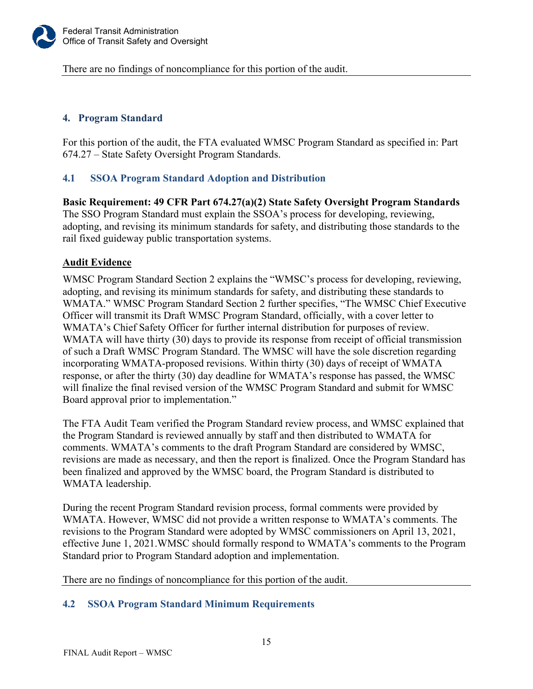

There are no findings of noncompliance for this portion of the audit.

## <span id="page-17-0"></span>**4. Program Standard**

For this portion of the audit, the FTA evaluated WMSC Program Standard as specified in: Part 674.27 – State Safety Oversight Program Standards.

## <span id="page-17-1"></span>**4.1 SSOA Program Standard Adoption and Distribution**

**Basic Requirement: 49 CFR Part 674.27(a)(2) State Safety Oversight Program Standards** The SSO Program Standard must explain the SSOA's process for developing, reviewing, adopting, and revising its minimum standards for safety, and distributing those standards to the rail fixed guideway public transportation systems.

#### **Audit Evidence**

WMSC Program Standard Section 2 explains the "WMSC's process for developing, reviewing, adopting, and revising its minimum standards for safety, and distributing these standards to WMATA." WMSC Program Standard Section 2 further specifies, "The WMSC Chief Executive Officer will transmit its Draft WMSC Program Standard, officially, with a cover letter to WMATA's Chief Safety Officer for further internal distribution for purposes of review. WMATA will have thirty (30) days to provide its response from receipt of official transmission of such a Draft WMSC Program Standard. The WMSC will have the sole discretion regarding incorporating WMATA-proposed revisions. Within thirty (30) days of receipt of WMATA response, or after the thirty (30) day deadline for WMATA's response has passed, the WMSC will finalize the final revised version of the WMSC Program Standard and submit for WMSC Board approval prior to implementation."

The FTA Audit Team verified the Program Standard review process, and WMSC explained that the Program Standard is reviewed annually by staff and then distributed to WMATA for comments. WMATA's comments to the draft Program Standard are considered by WMSC, revisions are made as necessary, and then the report is finalized. Once the Program Standard has been finalized and approved by the WMSC board, the Program Standard is distributed to WMATA leadership.

During the recent Program Standard revision process, formal comments were provided by WMATA. However, WMSC did not provide a written response to WMATA's comments. The revisions to the Program Standard were adopted by WMSC commissioners on April 13, 2021, effective June 1, 2021.WMSC should formally respond to WMATA's comments to the Program Standard prior to Program Standard adoption and implementation.

There are no findings of noncompliance for this portion of the audit.

## <span id="page-17-2"></span>**4.2 SSOA Program Standard Minimum Requirements**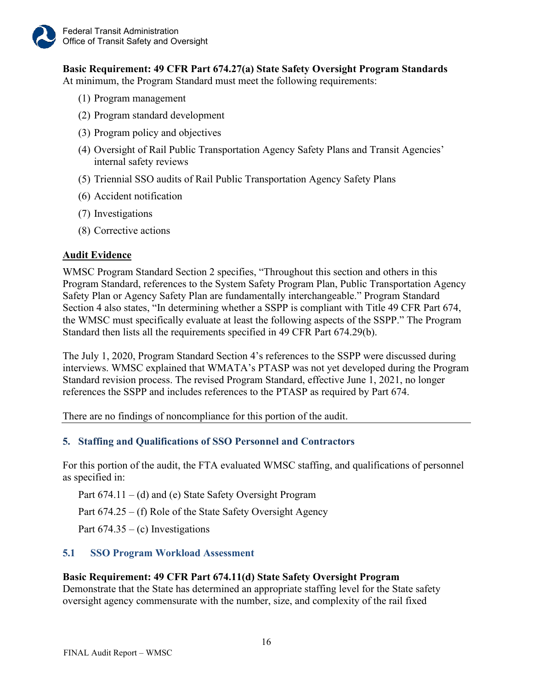**Basic Requirement: 49 CFR Part 674.27(a) State Safety Oversight Program Standards** At minimum, the Program Standard must meet the following requirements:

- (1) Program management
- (2) Program standard development
- (3) Program policy and objectives
- (4) Oversight of Rail Public Transportation Agency Safety Plans and Transit Agencies' internal safety reviews
- (5) Triennial SSO audits of Rail Public Transportation Agency Safety Plans
- (6) Accident notification
- (7) Investigations
- (8) Corrective actions

#### **Audit Evidence**

WMSC Program Standard Section 2 specifies, "Throughout this section and others in this Program Standard, references to the System Safety Program Plan, Public Transportation Agency Safety Plan or Agency Safety Plan are fundamentally interchangeable." Program Standard Section 4 also states, "In determining whether a SSPP is compliant with Title 49 CFR Part 674, the WMSC must specifically evaluate at least the following aspects of the SSPP." The Program Standard then lists all the requirements specified in 49 CFR Part 674.29(b).

The July 1, 2020, Program Standard Section 4's references to the SSPP were discussed during interviews. WMSC explained that WMATA's PTASP was not yet developed during the Program Standard revision process. The revised Program Standard, effective June 1, 2021, no longer references the SSPP and includes references to the PTASP as required by Part 674.

There are no findings of noncompliance for this portion of the audit.

#### <span id="page-18-0"></span>**5. Staffing and Qualifications of SSO Personnel and Contractors**

For this portion of the audit, the FTA evaluated WMSC staffing, and qualifications of personnel as specified in:

Part 674.11 – (d) and (e) State Safety Oversight Program

Part 674.25 – (f) Role of the State Safety Oversight Agency

<span id="page-18-1"></span>Part  $674.35 - (c)$  Investigations

## **5.1 SSO Program Workload Assessment**

#### **Basic Requirement: 49 CFR Part 674.11(d) State Safety Oversight Program**

Demonstrate that the State has determined an appropriate staffing level for the State safety oversight agency commensurate with the number, size, and complexity of the rail fixed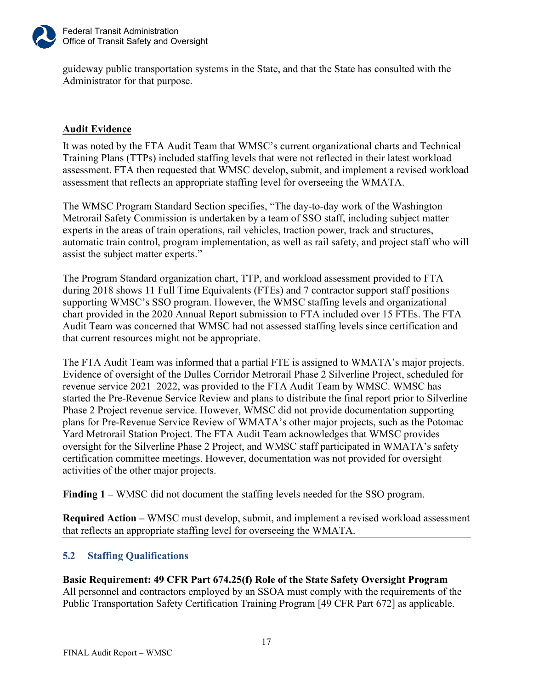

guideway public transportation systems in the State, and that the State has consulted with the Administrator for that purpose.

## **Audit Evidence**

It was noted by the FTA Audit Team that WMSC's current organizational charts and Technical Training Plans (TTPs) included staffing levels that were not reflected in their latest workload assessment. FTA then requested that WMSC develop, submit, and implement a revised workload assessment that reflects an appropriate staffing level for overseeing the WMATA.

The WMSC Program Standard Section specifies, "The day-to-day work of the Washington Metrorail Safety Commission is undertaken by a team of SSO staff, including subject matter experts in the areas of train operations, rail vehicles, traction power, track and structures, automatic train control, program implementation, as well as rail safety, and project staff who will assist the subject matter experts."

The Program Standard organization chart, TTP, and workload assessment provided to FTA during 2018 shows 11 Full Time Equivalents (FTEs) and 7 contractor support staff positions supporting WMSC's SSO program. However, the WMSC staffing levels and organizational chart provided in the 2020 Annual Report submission to FTA included over 15 FTEs. The FTA Audit Team was concerned that WMSC had not assessed staffing levels since certification and that current resources might not be appropriate.

The FTA Audit Team was informed that a partial FTE is assigned to WMATA's major projects. Evidence of oversight of the Dulles Corridor Metrorail Phase 2 Silverline Project, scheduled for revenue service 2021–2022, was provided to the FTA Audit Team by WMSC. WMSC has started the Pre-Revenue Service Review and plans to distribute the final report prior to Silverline Phase 2 Project revenue service. However, WMSC did not provide documentation supporting plans for Pre-Revenue Service Review of WMATA's other major projects, such as the Potomac Yard Metrorail Station Project. The FTA Audit Team acknowledges that WMSC provides oversight for the Silverline Phase 2 Project, and WMSC staff participated in WMATA's safety certification committee meetings. However, documentation was not provided for oversight activities of the other major projects.

**Finding 1 –** WMSC did not document the staffing levels needed for the SSO program.

**Required Action –** WMSC must develop, submit, and implement a revised workload assessment that reflects an appropriate staffing level for overseeing the WMATA.

## <span id="page-19-0"></span>**5.2 Staffing Qualifications**

**Basic Requirement: 49 CFR Part 674.25(f) Role of the State Safety Oversight Program** All personnel and contractors employed by an SSOA must comply with the requirements of the Public Transportation Safety Certification Training Program [49 CFR Part 672] as applicable.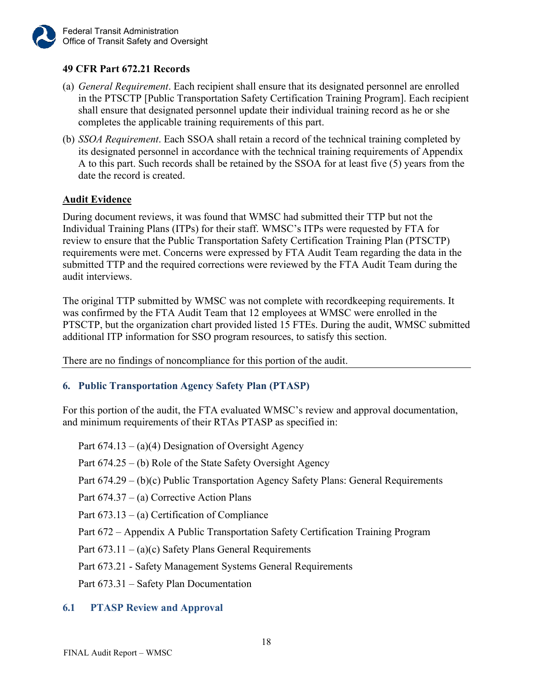## **49 CFR Part 672.21 Records**

- (a) *General Requirement*. Each recipient shall ensure that its designated personnel are enrolled in the PTSCTP [Public Transportation Safety Certification Training Program]. Each recipient shall ensure that designated personnel update their individual training record as he or she completes the applicable training requirements of this part.
- (b) *SSOA Requirement*. Each SSOA shall retain a record of the technical training completed by its designated personnel in accordance with the technical training requirements of Appendix A to this part. Such records shall be retained by the SSOA for at least five (5) years from the date the record is created.

#### **Audit Evidence**

During document reviews, it was found that WMSC had submitted their TTP but not the Individual Training Plans (ITPs) for their staff. WMSC's ITPs were requested by FTA for review to ensure that the Public Transportation Safety Certification Training Plan (PTSCTP) requirements were met. Concerns were expressed by FTA Audit Team regarding the data in the submitted TTP and the required corrections were reviewed by the FTA Audit Team during the audit interviews.

The original TTP submitted by WMSC was not complete with recordkeeping requirements. It was confirmed by the FTA Audit Team that 12 employees at WMSC were enrolled in the PTSCTP, but the organization chart provided listed 15 FTEs. During the audit, WMSC submitted additional ITP information for SSO program resources, to satisfy this section.

There are no findings of noncompliance for this portion of the audit.

#### <span id="page-20-0"></span>**6. Public Transportation Agency Safety Plan (PTASP)**

For this portion of the audit, the FTA evaluated WMSC's review and approval documentation, and minimum requirements of their RTAs PTASP as specified in:

Part  $674.13 - (a)(4)$  Designation of Oversight Agency

Part 674.25 – (b) Role of the State Safety Oversight Agency

Part 674.29 – (b)(c) Public Transportation Agency Safety Plans: General Requirements

Part 674.37 – (a) Corrective Action Plans

Part 673.13 – (a) Certification of Compliance

Part 672 – Appendix A Public Transportation Safety Certification Training Program

Part  $673.11 - (a)(c)$  Safety Plans General Requirements

Part 673.21 - Safety Management Systems General Requirements

<span id="page-20-1"></span>Part 673.31 – Safety Plan Documentation

#### **6.1 PTASP Review and Approval**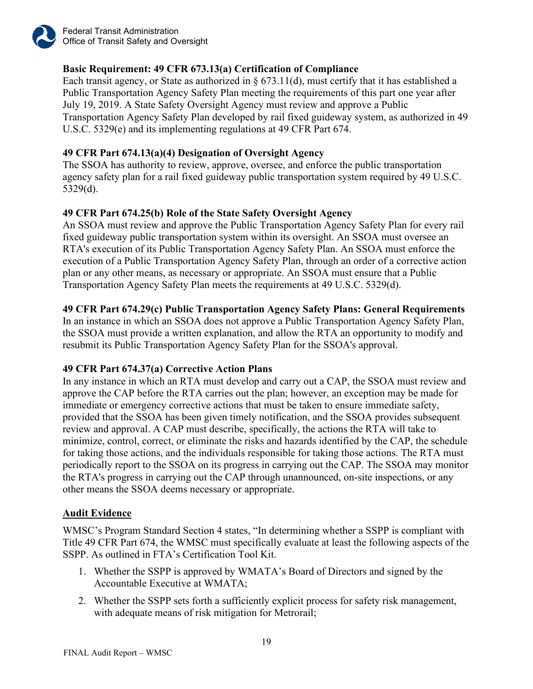

Federal Transit Administration Office of Transit Safety and Oversight

## **Basic Requirement: 49 CFR 673.13(a) Certification of Compliance**

Each transit agency, or State as authorized in  $\S$  673.11(d), must certify that it has established a Public Transportation Agency Safety Plan meeting the requirements of this part one year after July 19, 2019. A State Safety Oversight Agency must review and approve a Public Transportation Agency Safety Plan developed by rail fixed guideway system, as authorized in 49 U.S.C. 5329(e) and its implementing regulations at 49 CFR Part 674.

#### **49 CFR Part 674.13(a)(4) Designation of Oversight Agency**

The SSOA has authority to review, approve, oversee, and enforce the public transportation agency safety plan for a rail fixed guideway public transportation system required by 49 U.S.C. 5329(d).

#### **49 CFR Part 674.25(b) Role of the State Safety Oversight Agency**

An SSOA must review and approve the Public Transportation Agency Safety Plan for every rail fixed guideway public transportation system within its oversight. An SSOA must oversee an RTA's execution of its Public Transportation Agency Safety Plan. An SSOA must enforce the execution of a Public Transportation Agency Safety Plan, through an order of a corrective action plan or any other means, as necessary or appropriate. An SSOA must ensure that a Public Transportation Agency Safety Plan meets the requirements at 49 U.S.C. 5329(d).

#### **49 CFR Part 674.29(c) Public Transportation Agency Safety Plans: General Requirements**

In an instance in which an SSOA does not approve a Public Transportation Agency Safety Plan, the SSOA must provide a written explanation, and allow the RTA an opportunity to modify and resubmit its Public Transportation Agency Safety Plan for the SSOA's approval.

#### **49 CFR Part 674.37(a) Corrective Action Plans**

In any instance in which an [RTA](https://www.law.cornell.edu/definitions/index.php?width=840&height=800&iframe=true&def_id=0eb006cd70806df69c69a70ff6adb012&term_occur=999&term_src=Title:49:Subtitle:B:Chapter:VI:Part:674:Subpart:C:674.37) must develop and carry out a CAP, the [SSOA](https://www.law.cornell.edu/definitions/index.php?width=840&height=800&iframe=true&def_id=fe357a6c633d652e2cc9775ebaf367df&term_occur=999&term_src=Title:49:Subtitle:B:Chapter:VI:Part:674:Subpart:C:674.37) must review and approve the CAP before the [RTA](https://www.law.cornell.edu/definitions/index.php?width=840&height=800&iframe=true&def_id=0eb006cd70806df69c69a70ff6adb012&term_occur=999&term_src=Title:49:Subtitle:B:Chapter:VI:Part:674:Subpart:C:674.37) carries out the plan; however, an exception may be made for immediate or emergency corrective actions that must be taken to ensure immediate safety, provided that the [SSOA](https://www.law.cornell.edu/definitions/index.php?width=840&height=800&iframe=true&def_id=fe357a6c633d652e2cc9775ebaf367df&term_occur=999&term_src=Title:49:Subtitle:B:Chapter:VI:Part:674:Subpart:C:674.37) has been given timely notification, and the [SSOA](https://www.law.cornell.edu/definitions/index.php?width=840&height=800&iframe=true&def_id=fe357a6c633d652e2cc9775ebaf367df&term_occur=999&term_src=Title:49:Subtitle:B:Chapter:VI:Part:674:Subpart:C:674.37) provides subsequent review and approval. A CAP must describe, specifically, the actions the [RTA](https://www.law.cornell.edu/definitions/index.php?width=840&height=800&iframe=true&def_id=0eb006cd70806df69c69a70ff6adb012&term_occur=999&term_src=Title:49:Subtitle:B:Chapter:VI:Part:674:Subpart:C:674.37) will take to minimize, control, correct, or eliminate the [risks](https://www.law.cornell.edu/definitions/index.php?width=840&height=800&iframe=true&def_id=43b918c4ae65bb4290e201affaf4efa2&term_occur=999&term_src=Title:49:Subtitle:B:Chapter:VI:Part:674:Subpart:C:674.37) and [hazards](https://www.law.cornell.edu/definitions/index.php?width=840&height=800&iframe=true&def_id=e0dd23575bc34d92a96a115dc5591b83&term_occur=999&term_src=Title:49:Subtitle:B:Chapter:VI:Part:674:Subpart:C:674.37) identified by the CAP, the schedule for taking those actions, and the individuals responsible for taking those actions. The [RTA](https://www.law.cornell.edu/definitions/index.php?width=840&height=800&iframe=true&def_id=0eb006cd70806df69c69a70ff6adb012&term_occur=999&term_src=Title:49:Subtitle:B:Chapter:VI:Part:674:Subpart:C:674.37) must periodically report to the [SSOA](https://www.law.cornell.edu/definitions/index.php?width=840&height=800&iframe=true&def_id=fe357a6c633d652e2cc9775ebaf367df&term_occur=999&term_src=Title:49:Subtitle:B:Chapter:VI:Part:674:Subpart:C:674.37) on its progress in carrying out the CAP. The [SSOA](https://www.law.cornell.edu/definitions/index.php?width=840&height=800&iframe=true&def_id=fe357a6c633d652e2cc9775ebaf367df&term_occur=999&term_src=Title:49:Subtitle:B:Chapter:VI:Part:674:Subpart:C:674.37) may monitor the [RTA's](https://www.law.cornell.edu/definitions/index.php?width=840&height=800&iframe=true&def_id=0eb006cd70806df69c69a70ff6adb012&term_occur=999&term_src=Title:49:Subtitle:B:Chapter:VI:Part:674:Subpart:C:674.37) progress in carrying out the CAP through unannounced, on-site inspections, or any other means the [SSOA](https://www.law.cornell.edu/definitions/index.php?width=840&height=800&iframe=true&def_id=fe357a6c633d652e2cc9775ebaf367df&term_occur=999&term_src=Title:49:Subtitle:B:Chapter:VI:Part:674:Subpart:C:674.37) deems necessary or appropriate.

#### **Audit Evidence**

WMSC's Program Standard Section 4 states, "In determining whether a SSPP is compliant with Title 49 CFR Part 674, the WMSC must specifically evaluate at least the following aspects of the SSPP. As outlined in FTA's Certification Tool Kit.

- 1. Whether the SSPP is approved by WMATA's Board of Directors and signed by the Accountable Executive at WMATA;
- 2. Whether the SSPP sets forth a sufficiently explicit process for safety risk management, with adequate means of risk mitigation for Metrorail;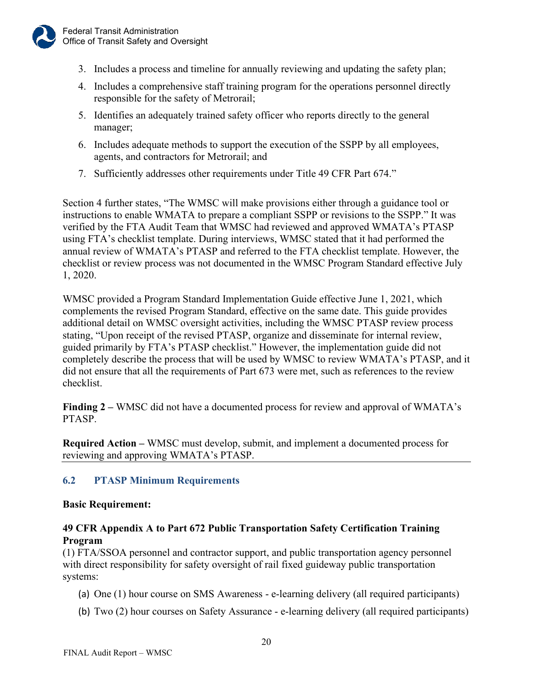

- 3. Includes a process and timeline for annually reviewing and updating the safety plan;
- 4. Includes a comprehensive staff training program for the operations personnel directly responsible for the safety of Metrorail;
- 5. Identifies an adequately trained safety officer who reports directly to the general manager;
- 6. Includes adequate methods to support the execution of the SSPP by all employees, agents, and contractors for Metrorail; and
- 7. Sufficiently addresses other requirements under Title 49 CFR Part 674."

Section 4 further states, "The WMSC will make provisions either through a guidance tool or instructions to enable WMATA to prepare a compliant SSPP or revisions to the SSPP." It was verified by the FTA Audit Team that WMSC had reviewed and approved WMATA's PTASP using FTA's checklist template. During interviews, WMSC stated that it had performed the annual review of WMATA's PTASP and referred to the FTA checklist template. However, the checklist or review process was not documented in the WMSC Program Standard effective July 1, 2020.

WMSC provided a Program Standard Implementation Guide effective June 1, 2021, which complements the revised Program Standard, effective on the same date. This guide provides additional detail on WMSC oversight activities, including the WMSC PTASP review process stating, "Upon receipt of the revised PTASP, organize and disseminate for internal review, guided primarily by FTA's PTASP checklist." However, the implementation guide did not completely describe the process that will be used by WMSC to review WMATA's PTASP, and it did not ensure that all the requirements of Part 673 were met, such as references to the review checklist.

**Finding 2 –** WMSC did not have a documented process for review and approval of WMATA's PTASP.

**Required Action –** WMSC must develop, submit, and implement a documented process for reviewing and approving WMATA's PTASP.

## <span id="page-22-0"></span>**6.2 PTASP Minimum Requirements**

#### **Basic Requirement:**

#### **49 CFR Appendix A to Part 672 Public Transportation Safety Certification Training Program**

(1) FTA/SSOA personnel and contractor support, and public transportation agency personnel with direct responsibility for safety oversight of rail fixed guideway public transportation systems:

- (a) One (1) hour course on SMS Awareness e-learning delivery (all required participants)
- (b) Two (2) hour courses on Safety Assurance e-learning delivery (all required participants)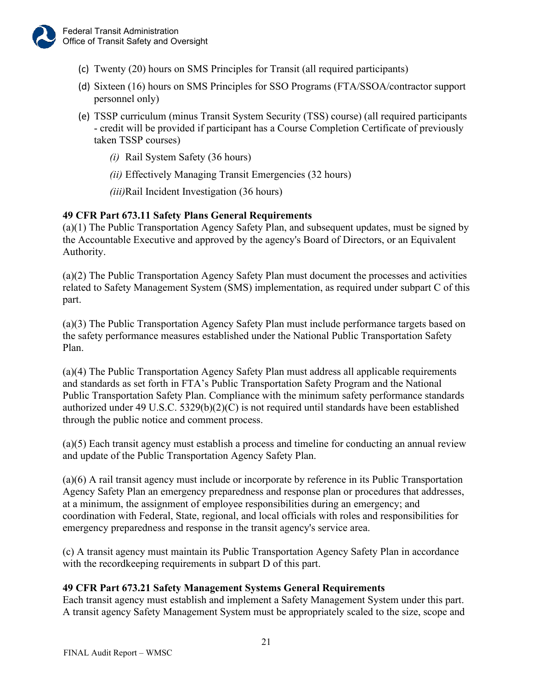- (c) Twenty (20) hours on SMS Principles for Transit (all required participants)
- (d) Sixteen (16) hours on SMS Principles for SSO Programs (FTA/SSOA/contractor support personnel only)
- (e) TSSP curriculum (minus Transit System Security (TSS) course) (all required participants - credit will be provided if participant has a Course Completion Certificate of previously taken TSSP courses)
	- *(i)* Rail System Safety (36 hours)
	- *(ii)* Effectively Managing Transit Emergencies (32 hours)
	- *(iii)*Rail Incident Investigation (36 hours)

#### **49 CFR Part 673.11 Safety Plans General Requirements**

(a)(1) The Public Transportation Agency Safety Plan, and subsequent updates, must be signed by the Accountable Executive and approved by the agency's Board of Directors, or an Equivalent Authority.

(a)(2) The [Public Transportation Agency Safety Plan](https://www.law.cornell.edu/definitions/index.php?width=840&height=800&iframe=true&def_id=1ba616d956c6725dbcf4ef0b9e174cec&term_occur=999&term_src=Title:49:Subtitle:B:Chapter:VI:Part:673:Subpart:B:673.11) must document the processes and activities related to [Safety Management System \(SMS\)](https://www.law.cornell.edu/definitions/index.php?width=840&height=800&iframe=true&def_id=97bdf4336154e87fb04abc8f92319d69&term_occur=999&term_src=Title:49:Subtitle:B:Chapter:VI:Part:673:Subpart:B:673.11) implementation, as required under [subpart C](https://www.law.cornell.edu/cfr/text/49/part-673/subpart-C) of this part.

(a)(3) The [Public Transportation Agency Safety Plan](https://www.law.cornell.edu/definitions/index.php?width=840&height=800&iframe=true&def_id=1ba616d956c6725dbcf4ef0b9e174cec&term_occur=999&term_src=Title:49:Subtitle:B:Chapter:VI:Part:673:Subpart:B:673.11) must include [performance targets](https://www.law.cornell.edu/definitions/index.php?width=840&height=800&iframe=true&def_id=5b73a59b0c3318f3d3f2a4fce8606f26&term_occur=999&term_src=Title:49:Subtitle:B:Chapter:VI:Part:673:Subpart:B:673.11) based on the safety [performance measures](https://www.law.cornell.edu/definitions/index.php?width=840&height=800&iframe=true&def_id=624f854a33470b8df3c102f7864abc29&term_occur=999&term_src=Title:49:Subtitle:B:Chapter:VI:Part:673:Subpart:B:673.11) established under the [National Public Transportation Safety](https://www.law.cornell.edu/definitions/index.php?width=840&height=800&iframe=true&def_id=38eb648aab91eeced9df2d4abcc1545a&term_occur=999&term_src=Title:49:Subtitle:B:Chapter:VI:Part:673:Subpart:B:673.11)  [Plan.](https://www.law.cornell.edu/definitions/index.php?width=840&height=800&iframe=true&def_id=38eb648aab91eeced9df2d4abcc1545a&term_occur=999&term_src=Title:49:Subtitle:B:Chapter:VI:Part:673:Subpart:B:673.11)

(a)(4) The Public Transportation Agency Safety Plan must address all applicable requirements and standards as set forth in FTA's Public Transportation Safety Program and the National Public Transportation Safety Plan. Compliance with the minimum safety performance standards authorized under 49 U.S.C.  $5329(b)(2)(C)$  is not required until standards have been established through the public notice and comment process.

(a)(5) Each transit agency must establish a process and timeline for conducting an annual review and update of the Public Transportation Agency Safety Plan.

(a)(6) A [rail transit agency](https://www.law.cornell.edu/definitions/index.php?width=840&height=800&iframe=true&def_id=f41a0158a5b97f7e7f9e7ce5e15a46cd&term_occur=999&term_src=Title:49:Subtitle:B:Chapter:VI:Part:673:Subpart:B:673.11) must include or incorporate by reference in its [Public Transportation](https://www.law.cornell.edu/definitions/index.php?width=840&height=800&iframe=true&def_id=1ba616d956c6725dbcf4ef0b9e174cec&term_occur=999&term_src=Title:49:Subtitle:B:Chapter:VI:Part:673:Subpart:B:673.11)  [Agency Safety Plan](https://www.law.cornell.edu/definitions/index.php?width=840&height=800&iframe=true&def_id=1ba616d956c6725dbcf4ef0b9e174cec&term_occur=999&term_src=Title:49:Subtitle:B:Chapter:VI:Part:673:Subpart:B:673.11) an emergency preparedness and response plan or procedures that addresses, at a minimum, the assignment of employee responsibilities during an emergency; and coordination with Federal, [State,](https://www.law.cornell.edu/definitions/index.php?width=840&height=800&iframe=true&def_id=2c4a941a4e9fee74862a118d513480c0&term_occur=999&term_src=Title:49:Subtitle:B:Chapter:VI:Part:673:Subpart:B:673.11) regional, and local officials with roles and responsibilities for emergency preparedness and response in the [transit agency's](https://www.law.cornell.edu/definitions/index.php?width=840&height=800&iframe=true&def_id=002e7e6c917a151885d392c9f9e15e05&term_occur=999&term_src=Title:49:Subtitle:B:Chapter:VI:Part:673:Subpart:B:673.11) service area.

(c) A transit agency must maintain its Public Transportation Agency Safety Plan in accordance with the recordkeeping requirements in subpart D of this part.

#### **49 CFR Part 673.21 Safety Management Systems General Requirements**

Each transit agency must establish and implement a Safety Management System under this part. A transit agency Safety Management System must be appropriately scaled to the size, scope and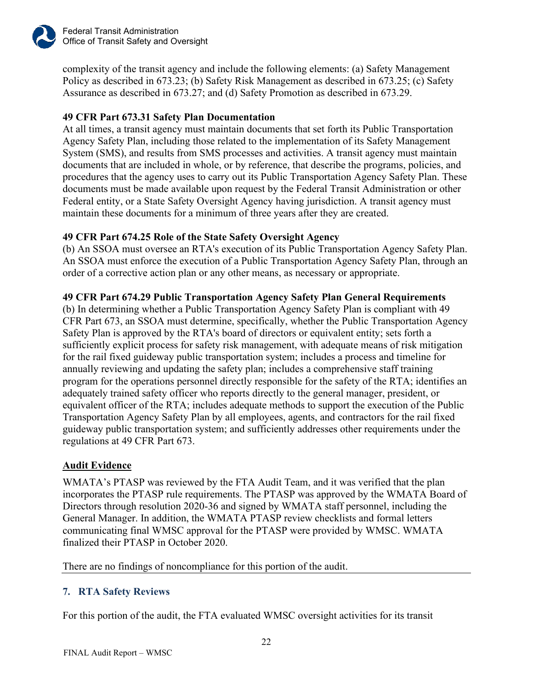

complexity of the transit agency and include the following elements: (a) Safety Management Policy as described in 673.23; (b) Safety Risk Management as described in 673.25; (c) Safety Assurance as described in 673.27; and (d) Safety Promotion as described in 673.29.

## **49 CFR Part 673.31 Safety Plan Documentation**

At all times, a transit agency must maintain documents that set forth its Public Transportation Agency Safety Plan, including those related to the implementation of its Safety Management System (SMS), and results from SMS processes and activities. A transit agency must maintain documents that are included in whole, or by reference, that describe the programs, policies, and procedures that the agency uses to carry out its Public Transportation Agency Safety Plan. These documents must be made available upon request by the Federal Transit Administration or other Federal entity, or a State Safety Oversight Agency having jurisdiction. A transit agency must maintain these documents for a minimum of three years after they are created.

## **49 CFR Part 674.25 Role of the State Safety Oversight Agency**

(b) An SSOA must oversee an RTA's execution of its Public Transportation Agency Safety Plan. An SSOA must enforce the execution of a Public Transportation Agency Safety Plan, through an order of a corrective action plan or any other means, as necessary or appropriate.

## **49 CFR Part 674.29 Public Transportation Agency Safety Plan General Requirements**

(b) In determining whether a Public Transportation Agency Safety Plan is compliant with 49 CFR Part 673, an SSOA must determine, specifically, whether the Public Transportation Agency Safety Plan is approved by the RTA's board of directors or equivalent entity; sets forth a sufficiently explicit process for safety risk management, with adequate means of risk mitigation for the rail fixed guideway public transportation system; includes a process and timeline for annually reviewing and updating the safety plan; includes a comprehensive staff training program for the operations personnel directly responsible for the safety of the RTA; identifies an adequately trained safety officer who reports directly to the general manager, president, or equivalent officer of the RTA; includes adequate methods to support the execution of the Public Transportation Agency Safety Plan by all employees, agents, and contractors for the rail fixed guideway public transportation system; and sufficiently addresses other requirements under the regulations at 49 CFR Part 673.

## **Audit Evidence**

WMATA's PTASP was reviewed by the FTA Audit Team, and it was verified that the plan incorporates the PTASP rule requirements. The PTASP was approved by the WMATA Board of Directors through resolution 2020-36 and signed by WMATA staff personnel, including the General Manager. In addition, the WMATA PTASP review checklists and formal letters communicating final WMSC approval for the PTASP were provided by WMSC. WMATA finalized their PTASP in October 2020.

There are no findings of noncompliance for this portion of the audit.

## <span id="page-24-0"></span>**7. RTA Safety Reviews**

For this portion of the audit, the FTA evaluated WMSC oversight activities for its transit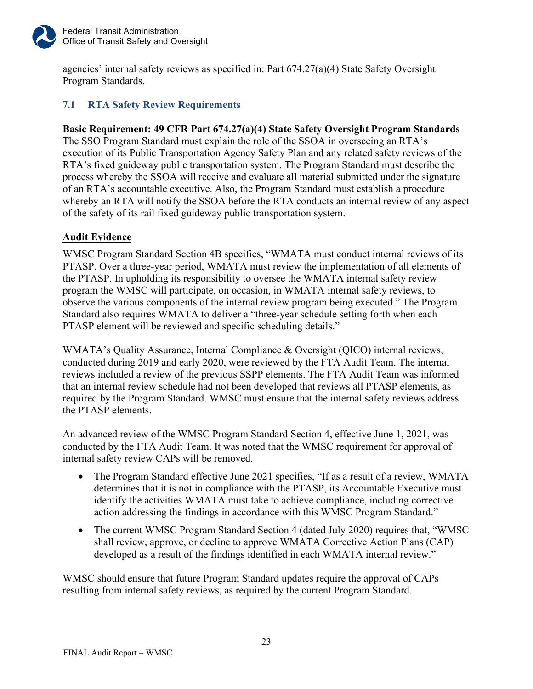

agencies' internal safety reviews as specified in: Part 674.27(a)(4) State Safety Oversight Program Standards.

## <span id="page-25-0"></span>**7.1 RTA Safety Review Requirements**

## **Basic Requirement: 49 CFR Part 674.27(a)(4) State Safety Oversight Program Standards**

The SSO Program Standard must explain the role of the SSOA in overseeing an RTA's execution of its Public Transportation Agency Safety Plan and any related safety reviews of the RTA's fixed guideway public transportation system. The Program Standard must describe the process whereby the SSOA will receive and evaluate all material submitted under the signature of an RTA's accountable executive. Also, the Program Standard must establish a procedure whereby an RTA will notify the SSOA before the RTA conducts an internal review of any aspect of the safety of its rail fixed guideway public transportation system.

## **Audit Evidence**

WMSC Program Standard Section 4B specifies, "WMATA must conduct internal reviews of its PTASP. Over a three-year period, WMATA must review the implementation of all elements of the PTASP. In upholding its responsibility to oversee the WMATA internal safety review program the WMSC will participate, on occasion, in WMATA internal safety reviews, to observe the various components of the internal review program being executed." The Program Standard also requires WMATA to deliver a "three-year schedule setting forth when each PTASP element will be reviewed and specific scheduling details."

WMATA's Quality Assurance, Internal Compliance & Oversight (QICO) internal reviews, conducted during 2019 and early 2020, were reviewed by the FTA Audit Team. The internal reviews included a review of the previous SSPP elements. The FTA Audit Team was informed that an internal review schedule had not been developed that reviews all PTASP elements, as required by the Program Standard. WMSC must ensure that the internal safety reviews address the PTASP elements.

An advanced review of the WMSC Program Standard Section 4, effective June 1, 2021, was conducted by the FTA Audit Team. It was noted that the WMSC requirement for approval of internal safety review CAPs will be removed.

- The Program Standard effective June 2021 specifies, "If as a result of a review, WMATA determines that it is not in compliance with the PTASP, its Accountable Executive must identify the activities WMATA must take to achieve compliance, including corrective action addressing the findings in accordance with this WMSC Program Standard."
- The current WMSC Program Standard Section 4 (dated July 2020) requires that, "WMSC shall review, approve, or decline to approve WMATA Corrective Action Plans (CAP) developed as a result of the findings identified in each WMATA internal review."

WMSC should ensure that future Program Standard updates require the approval of CAPs resulting from internal safety reviews, as required by the current Program Standard.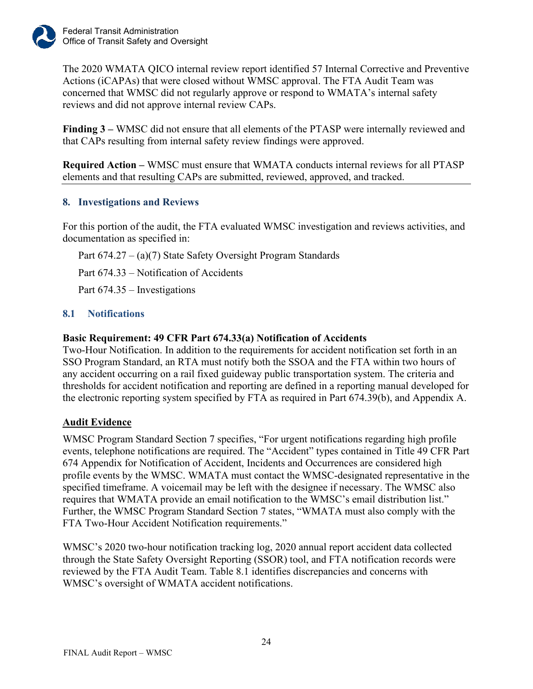

The 2020 WMATA QICO internal review report identified 57 Internal Corrective and Preventive Actions (iCAPAs) that were closed without WMSC approval. The FTA Audit Team was concerned that WMSC did not regularly approve or respond to WMATA's internal safety reviews and did not approve internal review CAPs.

**Finding 3 –** WMSC did not ensure that all elements of the PTASP were internally reviewed and that CAPs resulting from internal safety review findings were approved.

**Required Action –** WMSC must ensure that WMATA conducts internal reviews for all PTASP elements and that resulting CAPs are submitted, reviewed, approved, and tracked.

#### <span id="page-26-0"></span>**8. Investigations and Reviews**

For this portion of the audit, the FTA evaluated WMSC investigation and reviews activities, and documentation as specified in:

Part 674.27 – (a)(7) State Safety Oversight Program Standards

Part 674.33 – Notification of Accidents

Part 674.35 – Investigations

#### <span id="page-26-1"></span>**8.1 Notifications**

#### **Basic Requirement: 49 CFR Part 674.33(a) Notification of Accidents**

Two-Hour Notification. In addition to the requirements for accident notification set forth in an SSO Program Standard, an RTA must notify both the SSOA and the FTA within two hours of any accident occurring on a rail fixed guideway public transportation system. The criteria and thresholds for accident notification and reporting are defined in a reporting manual developed for the electronic reporting system specified by FTA as required in Part 674.39(b), and Appendix A.

#### **Audit Evidence**

WMSC Program Standard Section 7 specifies, "For urgent notifications regarding high profile events, telephone notifications are required. The "Accident" types contained in Title 49 CFR Part 674 Appendix for Notification of Accident, Incidents and Occurrences are considered high profile events by the WMSC. WMATA must contact the WMSC-designated representative in the specified timeframe. A voicemail may be left with the designee if necessary. The WMSC also requires that WMATA provide an email notification to the WMSC's email distribution list." Further, the WMSC Program Standard Section 7 states, "WMATA must also comply with the FTA Two-Hour Accident Notification requirements."

WMSC's 2020 two-hour notification tracking log, 2020 annual report accident data collected through the State Safety Oversight Reporting (SSOR) tool, and FTA notification records were reviewed by the FTA Audit Team. Table 8.1 identifies discrepancies and concerns with WMSC's oversight of WMATA accident notifications.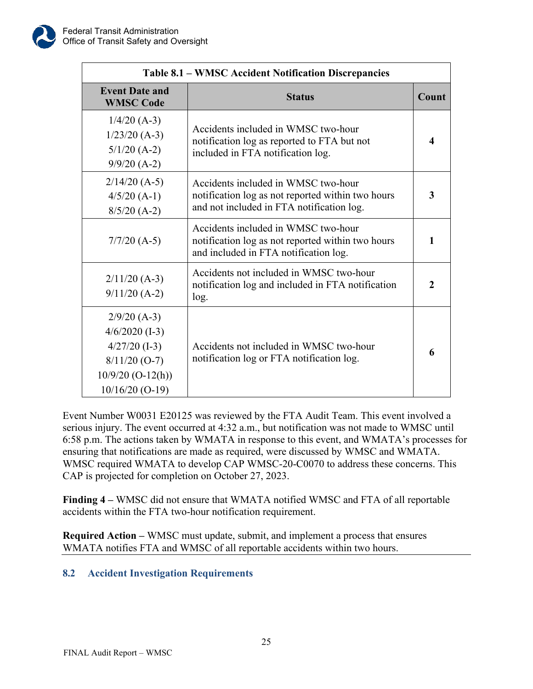| <b>Table 8.1 – WMSC Accident Notification Discrepancies</b>                                                          |                                                                                                                                       |                  |  |
|----------------------------------------------------------------------------------------------------------------------|---------------------------------------------------------------------------------------------------------------------------------------|------------------|--|
| <b>Event Date and</b><br><b>WMSC Code</b>                                                                            | <b>Status</b>                                                                                                                         | Count            |  |
| $1/4/20$ (A-3)<br>$1/23/20$ (A-3)<br>$5/1/20$ (A-2)<br>$9/9/20$ (A-2)                                                | Accidents included in WMSC two-hour<br>notification log as reported to FTA but not<br>included in FTA notification log.               | $\boldsymbol{4}$ |  |
| $2/14/20$ (A-5)<br>$4/5/20$ (A-1)<br>$8/5/20$ (A-2)                                                                  | Accidents included in WMSC two-hour<br>notification log as not reported within two hours<br>and not included in FTA notification log. | 3                |  |
| $7/7/20$ (A-5)                                                                                                       | Accidents included in WMSC two-hour<br>notification log as not reported within two hours<br>and included in FTA notification log.     | 1                |  |
| $2/11/20$ (A-3)<br>$9/11/20$ (A-2)                                                                                   | Accidents not included in WMSC two-hour<br>notification log and included in FTA notification<br>log.                                  | 2                |  |
| $2/9/20$ (A-3)<br>$4/6/2020$ (I-3)<br>$4/27/20$ (I-3)<br>$8/11/20$ (O-7)<br>$10/9/20$ (O-12(h))<br>$10/16/20$ (O-19) | Accidents not included in WMSC two-hour<br>notification log or FTA notification log.                                                  | 6                |  |

Event Number W0031 E20125 was reviewed by the FTA Audit Team. This event involved a serious injury. The event occurred at 4:32 a.m., but notification was not made to WMSC until 6:58 p.m. The actions taken by WMATA in response to this event, and WMATA's processes for ensuring that notifications are made as required, were discussed by WMSC and WMATA. WMSC required WMATA to develop CAP WMSC-20-C0070 to address these concerns. This CAP is projected for completion on October 27, 2023.

**Finding 4 –** WMSC did not ensure that WMATA notified WMSC and FTA of all reportable accidents within the FTA two-hour notification requirement.

**Required Action –** WMSC must update, submit, and implement a process that ensures WMATA notifies FTA and WMSC of all reportable accidents within two hours.

## <span id="page-27-0"></span>**8.2 Accident Investigation Requirements**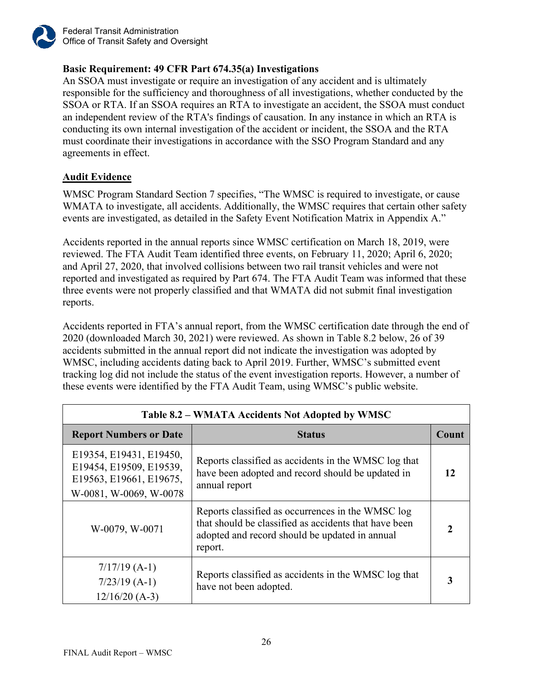

Federal Transit Administration Office of Transit Safety and Oversight

## **Basic Requirement: 49 CFR Part 674.35(a) Investigations**

An SSOA must investigate or require an investigation of any accident and is ultimately responsible for the sufficiency and thoroughness of all investigations, whether conducted by the SSOA or RTA. If an SSOA requires an RTA to investigate an accident, the SSOA must conduct an independent review of the RTA's findings of causation. In any instance in which an RTA is conducting its own internal investigation of the accident or incident, the SSOA and the RTA must coordinate their investigations in accordance with the SSO Program Standard and any agreements in effect.

## **Audit Evidence**

WMSC Program Standard Section 7 specifies, "The WMSC is required to investigate, or cause WMATA to investigate, all accidents. Additionally, the WMSC requires that certain other safety events are investigated, as detailed in the Safety Event Notification Matrix in Appendix A."

Accidents reported in the annual reports since WMSC certification on March 18, 2019, were reviewed. The FTA Audit Team identified three events, on February 11, 2020; April 6, 2020; and April 27, 2020, that involved collisions between two rail transit vehicles and were not reported and investigated as required by Part 674. The FTA Audit Team was informed that these three events were not properly classified and that WMATA did not submit final investigation reports.

Accidents reported in FTA's annual report, from the WMSC certification date through the end of 2020 (downloaded March 30, 2021) were reviewed. As shown in Table 8.2 below, 26 of 39 accidents submitted in the annual report did not indicate the investigation was adopted by WMSC, including accidents dating back to April 2019. Further, WMSC's submitted event tracking log did not include the status of the event investigation reports. However, a number of these events were identified by the FTA Audit Team, using WMSC's public website.

| Table 8.2 – WMATA Accidents Not Adopted by WMSC                                                         |                                                                                                                                                                         |       |  |
|---------------------------------------------------------------------------------------------------------|-------------------------------------------------------------------------------------------------------------------------------------------------------------------------|-------|--|
| <b>Report Numbers or Date</b>                                                                           | <b>Status</b>                                                                                                                                                           | Count |  |
| E19354, E19431, E19450,<br>E19454, E19509, E19539,<br>E19563, E19661, E19675,<br>W-0081, W-0069, W-0078 | Reports classified as accidents in the WMSC log that<br>have been adopted and record should be updated in<br>annual report                                              | 12    |  |
| W-0079, W-0071                                                                                          | Reports classified as occurrences in the WMSC log<br>that should be classified as accidents that have been<br>adopted and record should be updated in annual<br>report. |       |  |
| $7/17/19$ (A-1)<br>$7/23/19$ (A-1)<br>$12/16/20$ (A-3)                                                  | Reports classified as accidents in the WMSC log that<br>have not been adopted.                                                                                          |       |  |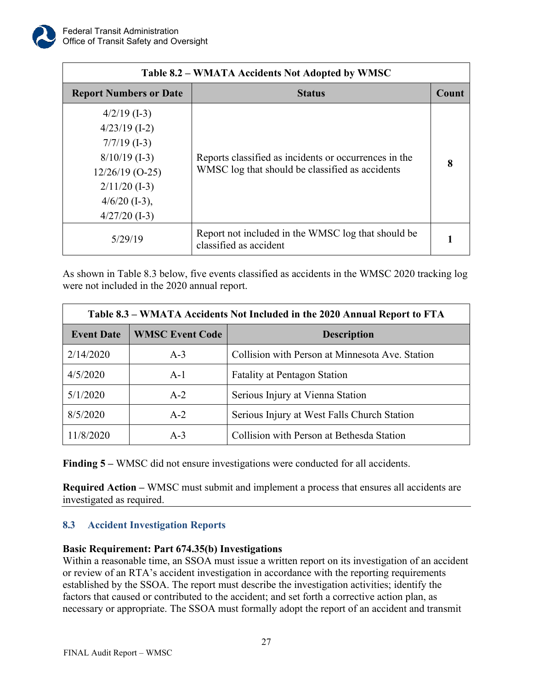

| Table 8.2 – WMATA Accidents Not Adopted by WMSC                                                                                                      |                                                                                                          |       |  |
|------------------------------------------------------------------------------------------------------------------------------------------------------|----------------------------------------------------------------------------------------------------------|-------|--|
| <b>Report Numbers or Date</b>                                                                                                                        | <b>Status</b>                                                                                            | Count |  |
| $4/2/19$ (I-3)<br>$4/23/19$ (I-2)<br>$7/7/19$ (I-3)<br>$8/10/19$ (I-3)<br>$12/26/19$ (O-25)<br>$2/11/20$ (I-3)<br>$4/6/20$ (I-3),<br>$4/27/20$ (I-3) | Reports classified as incidents or occurrences in the<br>WMSC log that should be classified as accidents | 8     |  |
| 5/29/19                                                                                                                                              | Report not included in the WMSC log that should be<br>classified as accident                             |       |  |

As shown in Table 8.3 below, five events classified as accidents in the WMSC 2020 tracking log were not included in the 2020 annual report.

| Table 8.3 – WMATA Accidents Not Included in the 2020 Annual Report to FTA |                                              |                                                 |  |
|---------------------------------------------------------------------------|----------------------------------------------|-------------------------------------------------|--|
| <b>Event Date</b>                                                         | <b>WMSC Event Code</b>                       | <b>Description</b>                              |  |
| 2/14/2020                                                                 | $A-3$                                        | Collision with Person at Minnesota Ave. Station |  |
| 4/5/2020                                                                  | <b>Fatality at Pentagon Station</b><br>$A-1$ |                                                 |  |
| 5/1/2020                                                                  | Serious Injury at Vienna Station<br>$A-2$    |                                                 |  |
| 8/5/2020<br>Serious Injury at West Falls Church Station<br>$A-2$          |                                              |                                                 |  |
| Collision with Person at Bethesda Station<br>11/8/2020<br>$A-3$           |                                              |                                                 |  |

**Finding 5 –** WMSC did not ensure investigations were conducted for all accidents.

**Required Action –** WMSC must submit and implement a process that ensures all accidents are investigated as required.

## <span id="page-29-0"></span>**8.3 Accident Investigation Reports**

## **Basic Requirement: Part 674.35(b) Investigations**

Within a reasonable time, an SSOA must issue a written report on its investigation of an accident or review of an RTA's accident investigation in accordance with the reporting requirements established by the SSOA. The report must describe the investigation activities; identify the factors that caused or contributed to the accident; and set forth a corrective action plan, as necessary or appropriate. The SSOA must formally adopt the report of an accident and transmit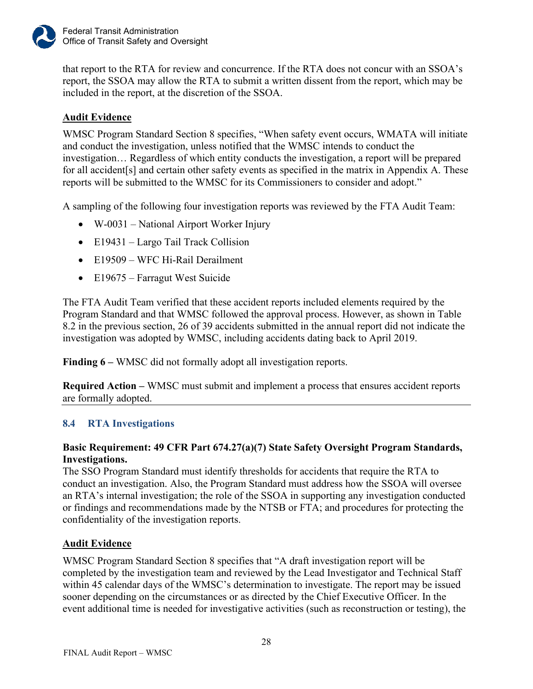

that report to the RTA for review and concurrence. If the RTA does not concur with an SSOA's report, the SSOA may allow the RTA to submit a written dissent from the report, which may be included in the report, at the discretion of the SSOA.

## **Audit Evidence**

WMSC Program Standard Section 8 specifies, "When safety event occurs, WMATA will initiate and conduct the investigation, unless notified that the WMSC intends to conduct the investigation… Regardless of which entity conducts the investigation, a report will be prepared for all accident[s] and certain other safety events as specified in the matrix in Appendix A. These reports will be submitted to the WMSC for its Commissioners to consider and adopt."

A sampling of the following four investigation reports was reviewed by the FTA Audit Team:

- W-0031 National Airport Worker Injury
- E19431 Largo Tail Track Collision
- E19509 WFC Hi-Rail Derailment
- E19675 Farragut West Suicide

The FTA Audit Team verified that these accident reports included elements required by the Program Standard and that WMSC followed the approval process. However, as shown in Table 8.2 in the previous section, 26 of 39 accidents submitted in the annual report did not indicate the investigation was adopted by WMSC, including accidents dating back to April 2019.

**Finding 6 –** WMSC did not formally adopt all investigation reports.

**Required Action –** WMSC must submit and implement a process that ensures accident reports are formally adopted.

## <span id="page-30-0"></span>**8.4 RTA Investigations**

## **Basic Requirement: 49 CFR Part 674.27(a)(7) State Safety Oversight Program Standards, Investigations.**

The SSO Program Standard must identify thresholds for accidents that require the RTA to conduct an investigation. Also, the Program Standard must address how the SSOA will oversee an RTA's internal investigation; the role of the SSOA in supporting any investigation conducted or findings and recommendations made by the NTSB or FTA; and procedures for protecting the confidentiality of the investigation reports.

## **Audit Evidence**

WMSC Program Standard Section 8 specifies that "A draft investigation report will be completed by the investigation team and reviewed by the Lead Investigator and Technical Staff within 45 calendar days of the WMSC's determination to investigate. The report may be issued sooner depending on the circumstances or as directed by the Chief Executive Officer. In the event additional time is needed for investigative activities (such as reconstruction or testing), the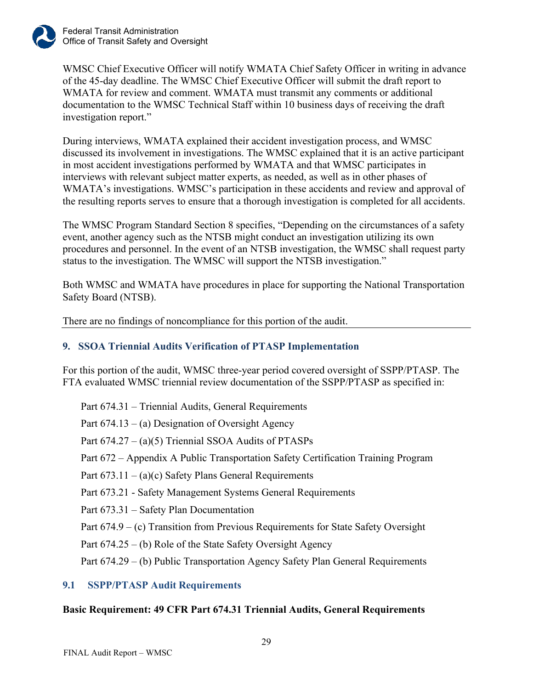

WMSC Chief Executive Officer will notify WMATA Chief Safety Officer in writing in advance of the 45-day deadline. The WMSC Chief Executive Officer will submit the draft report to WMATA for review and comment. WMATA must transmit any comments or additional documentation to the WMSC Technical Staff within 10 business days of receiving the draft investigation report."

During interviews, WMATA explained their accident investigation process, and WMSC discussed its involvement in investigations. The WMSC explained that it is an active participant in most accident investigations performed by WMATA and that WMSC participates in interviews with relevant subject matter experts, as needed, as well as in other phases of WMATA's investigations. WMSC's participation in these accidents and review and approval of the resulting reports serves to ensure that a thorough investigation is completed for all accidents.

The WMSC Program Standard Section 8 specifies, "Depending on the circumstances of a safety event, another agency such as the NTSB might conduct an investigation utilizing its own procedures and personnel. In the event of an NTSB investigation, the WMSC shall request party status to the investigation. The WMSC will support the NTSB investigation."

Both WMSC and WMATA have procedures in place for supporting the National Transportation Safety Board (NTSB).

There are no findings of noncompliance for this portion of the audit.

## <span id="page-31-0"></span>**9. SSOA Triennial Audits Verification of PTASP Implementation**

For this portion of the audit, WMSC three-year period covered oversight of SSPP/PTASP. The FTA evaluated WMSC triennial review documentation of the SSPP/PTASP as specified in:

Part 674.31 – Triennial Audits, General Requirements

Part  $674.13 - (a)$  Designation of Oversight Agency

Part 674.27 – (a)(5) Triennial SSOA Audits of PTASPs

Part 672 – Appendix A Public Transportation Safety Certification Training Program

Part  $673.11 - (a)(c)$  Safety Plans General Requirements

Part 673.21 - Safety Management Systems General Requirements

Part 673.31 – Safety Plan Documentation

Part 674.9 – (c) Transition from Previous Requirements for State Safety Oversight

Part 674.25 – (b) Role of the State Safety Oversight Agency

Part 674.29 – (b) Public Transportation Agency Safety Plan General Requirements

## <span id="page-31-1"></span>**9.1 SSPP/PTASP Audit Requirements**

## **Basic Requirement: 49 CFR Part 674.31 Triennial Audits, General Requirements**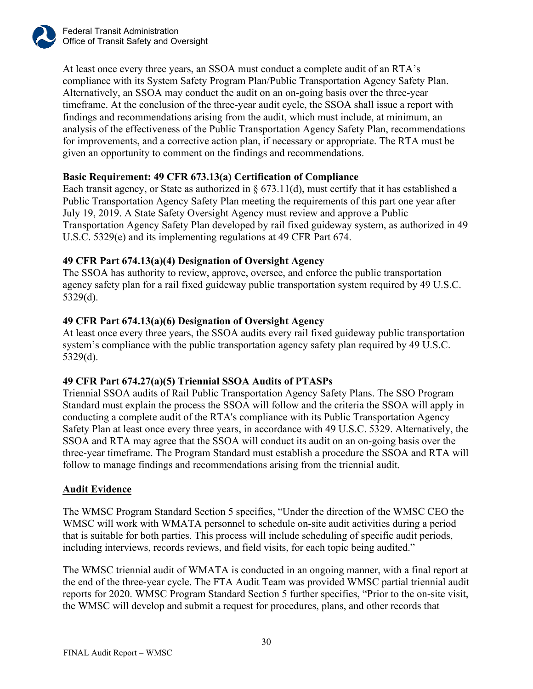At least once every three years, an SSOA must conduct a complete audit of an RTA's compliance with its System Safety Program Plan/Public Transportation Agency Safety Plan. Alternatively, an SSOA may conduct the audit on an on-going basis over the three-year timeframe. At the conclusion of the three-year audit cycle, the SSOA shall issue a report with findings and recommendations arising from the audit, which must include, at minimum, an analysis of the effectiveness of the Public Transportation Agency Safety Plan, recommendations for improvements, and a corrective action plan, if necessary or appropriate. The RTA must be given an opportunity to comment on the findings and recommendations.

## **Basic Requirement: 49 CFR 673.13(a) Certification of Compliance**

Each transit agency, or State as authorized in  $\S$  673.11(d), must certify that it has established a Public Transportation Agency Safety Plan meeting the requirements of this part one year after July 19, 2019. A State Safety Oversight Agency must review and approve a Public Transportation Agency Safety Plan developed by rail fixed guideway system, as authorized in 49 U.S.C. 5329(e) and its implementing regulations at 49 CFR Part 674.

## **49 CFR Part 674.13(a)(4) Designation of Oversight Agency**

The SSOA has authority to review, approve, oversee, and enforce the public transportation agency safety plan for a rail fixed guideway public transportation system required by 49 U.S.C. 5329(d).

## **49 CFR Part 674.13(a)(6) Designation of Oversight Agency**

At least once every three years, the SSOA audits every rail fixed guideway public transportation system's compliance with the public transportation agency safety plan required by 49 U.S.C. 5329(d).

## **49 CFR Part 674.27(a)(5) Triennial SSOA Audits of PTASPs**

Triennial SSOA audits of Rail Public Transportation Agency Safety Plans. The SSO Program Standard must explain the process the SSOA will follow and the criteria the SSOA will apply in conducting a complete audit of the RTA's compliance with its Public Transportation Agency Safety Plan at least once every three years, in accordance with 49 U.S.C. 5329. Alternatively, the SSOA and RTA may agree that the SSOA will conduct its audit on an on-going basis over the three-year timeframe. The Program Standard must establish a procedure the SSOA and RTA will follow to manage findings and recommendations arising from the triennial audit.

## **Audit Evidence**

The WMSC Program Standard Section 5 specifies, "Under the direction of the WMSC CEO the WMSC will work with WMATA personnel to schedule on-site audit activities during a period that is suitable for both parties. This process will include scheduling of specific audit periods, including interviews, records reviews, and field visits, for each topic being audited."

The WMSC triennial audit of WMATA is conducted in an ongoing manner, with a final report at the end of the three-year cycle. The FTA Audit Team was provided WMSC partial triennial audit reports for 2020. WMSC Program Standard Section 5 further specifies, "Prior to the on-site visit, the WMSC will develop and submit a request for procedures, plans, and other records that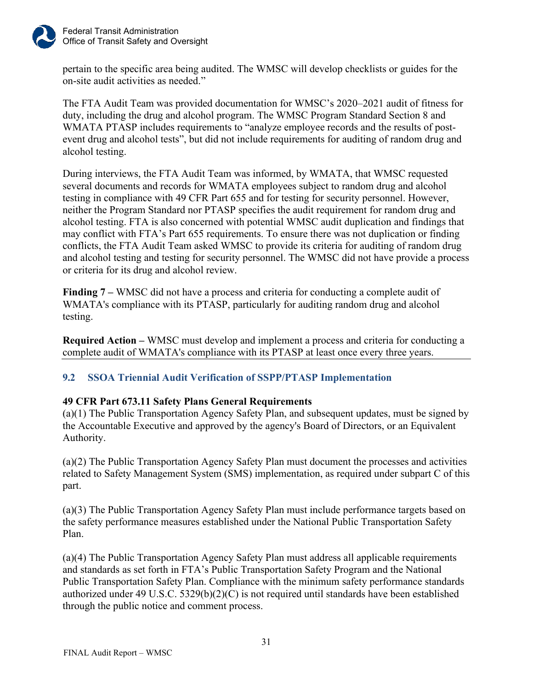

pertain to the specific area being audited. The WMSC will develop checklists or guides for the on-site audit activities as needed."

The FTA Audit Team was provided documentation for WMSC's 2020–2021 audit of fitness for duty, including the drug and alcohol program. The WMSC Program Standard Section 8 and WMATA PTASP includes requirements to "analyze employee records and the results of postevent drug and alcohol tests", but did not include requirements for auditing of random drug and alcohol testing.

During interviews, the FTA Audit Team was informed, by WMATA, that WMSC requested several documents and records for WMATA employees subject to random drug and alcohol testing in compliance with 49 CFR Part 655 and for testing for security personnel. However, neither the Program Standard nor PTASP specifies the audit requirement for random drug and alcohol testing. FTA is also concerned with potential WMSC audit duplication and findings that may conflict with FTA's Part 655 requirements. To ensure there was not duplication or finding conflicts, the FTA Audit Team asked WMSC to provide its criteria for auditing of random drug and alcohol testing and testing for security personnel. The WMSC did not have provide a process or criteria for its drug and alcohol review.

**Finding 7 –** WMSC did not have a process and criteria for conducting a complete audit of WMATA's compliance with its PTASP, particularly for auditing random drug and alcohol testing.

**Required Action –** WMSC must develop and implement a process and criteria for conducting a complete audit of WMATA's compliance with its PTASP at least once every three years.

## <span id="page-33-0"></span>**9.2 SSOA Triennial Audit Verification of SSPP/PTASP Implementation**

## **49 CFR Part 673.11 Safety Plans General Requirements**

(a)(1) The Public Transportation Agency Safety Plan, and subsequent updates, must be signed by the Accountable Executive and approved by the agency's Board of Directors, or an Equivalent Authority.

(a)(2) The [Public Transportation Agency Safety Plan](https://www.law.cornell.edu/definitions/index.php?width=840&height=800&iframe=true&def_id=1ba616d956c6725dbcf4ef0b9e174cec&term_occur=999&term_src=Title:49:Subtitle:B:Chapter:VI:Part:673:Subpart:B:673.11) must document the processes and activities related to [Safety Management System \(SMS\)](https://www.law.cornell.edu/definitions/index.php?width=840&height=800&iframe=true&def_id=97bdf4336154e87fb04abc8f92319d69&term_occur=999&term_src=Title:49:Subtitle:B:Chapter:VI:Part:673:Subpart:B:673.11) implementation, as required under [subpart C](https://www.law.cornell.edu/cfr/text/49/part-673/subpart-C) of this part.

(a)(3) The [Public Transportation Agency Safety Plan](https://www.law.cornell.edu/definitions/index.php?width=840&height=800&iframe=true&def_id=1ba616d956c6725dbcf4ef0b9e174cec&term_occur=999&term_src=Title:49:Subtitle:B:Chapter:VI:Part:673:Subpart:B:673.11) must include [performance targets](https://www.law.cornell.edu/definitions/index.php?width=840&height=800&iframe=true&def_id=5b73a59b0c3318f3d3f2a4fce8606f26&term_occur=999&term_src=Title:49:Subtitle:B:Chapter:VI:Part:673:Subpart:B:673.11) based on the safety [performance measures](https://www.law.cornell.edu/definitions/index.php?width=840&height=800&iframe=true&def_id=624f854a33470b8df3c102f7864abc29&term_occur=999&term_src=Title:49:Subtitle:B:Chapter:VI:Part:673:Subpart:B:673.11) established under the [National Public Transportation Safety](https://www.law.cornell.edu/definitions/index.php?width=840&height=800&iframe=true&def_id=38eb648aab91eeced9df2d4abcc1545a&term_occur=999&term_src=Title:49:Subtitle:B:Chapter:VI:Part:673:Subpart:B:673.11)  [Plan.](https://www.law.cornell.edu/definitions/index.php?width=840&height=800&iframe=true&def_id=38eb648aab91eeced9df2d4abcc1545a&term_occur=999&term_src=Title:49:Subtitle:B:Chapter:VI:Part:673:Subpart:B:673.11)

(a)(4) The Public Transportation Agency Safety Plan must address all applicable requirements and standards as set forth in FTA's Public Transportation Safety Program and the National Public Transportation Safety Plan. Compliance with the minimum safety performance standards authorized under 49 U.S.C.  $5329(b)(2)(C)$  is not required until standards have been established through the public notice and comment process.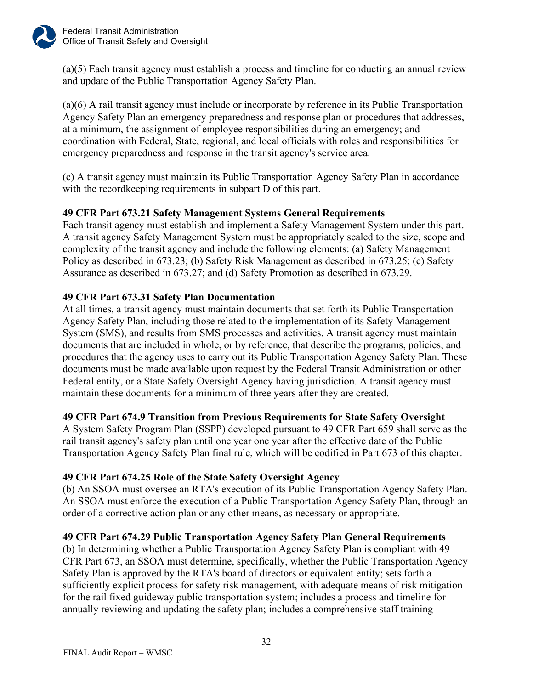

(a)(5) Each transit agency must establish a process and timeline for conducting an annual review and update of the Public Transportation Agency Safety Plan.

(a)(6) A [rail transit agency](https://www.law.cornell.edu/definitions/index.php?width=840&height=800&iframe=true&def_id=f41a0158a5b97f7e7f9e7ce5e15a46cd&term_occur=999&term_src=Title:49:Subtitle:B:Chapter:VI:Part:673:Subpart:B:673.11) must include or incorporate by reference in its [Public Transportation](https://www.law.cornell.edu/definitions/index.php?width=840&height=800&iframe=true&def_id=1ba616d956c6725dbcf4ef0b9e174cec&term_occur=999&term_src=Title:49:Subtitle:B:Chapter:VI:Part:673:Subpart:B:673.11)  [Agency Safety Plan](https://www.law.cornell.edu/definitions/index.php?width=840&height=800&iframe=true&def_id=1ba616d956c6725dbcf4ef0b9e174cec&term_occur=999&term_src=Title:49:Subtitle:B:Chapter:VI:Part:673:Subpart:B:673.11) an emergency preparedness and response plan or procedures that addresses, at a minimum, the assignment of employee responsibilities during an emergency; and coordination with Federal, [State,](https://www.law.cornell.edu/definitions/index.php?width=840&height=800&iframe=true&def_id=2c4a941a4e9fee74862a118d513480c0&term_occur=999&term_src=Title:49:Subtitle:B:Chapter:VI:Part:673:Subpart:B:673.11) regional, and local officials with roles and responsibilities for emergency preparedness and response in the [transit agency's](https://www.law.cornell.edu/definitions/index.php?width=840&height=800&iframe=true&def_id=002e7e6c917a151885d392c9f9e15e05&term_occur=999&term_src=Title:49:Subtitle:B:Chapter:VI:Part:673:Subpart:B:673.11) service area.

(c) A transit agency must maintain its Public Transportation Agency Safety Plan in accordance with the record keeping requirements in subpart D of this part.

## **49 CFR Part 673.21 Safety Management Systems General Requirements**

Each transit agency must establish and implement a Safety Management System under this part. A transit agency Safety Management System must be appropriately scaled to the size, scope and complexity of the transit agency and include the following elements: (a) Safety Management Policy as described in 673.23; (b) Safety Risk Management as described in 673.25; (c) Safety Assurance as described in 673.27; and (d) Safety Promotion as described in 673.29.

## **49 CFR Part 673.31 Safety Plan Documentation**

At all times, a transit agency must maintain documents that set forth its Public Transportation Agency Safety Plan, including those related to the implementation of its Safety Management System (SMS), and results from SMS processes and activities. A transit agency must maintain documents that are included in whole, or by reference, that describe the programs, policies, and procedures that the agency uses to carry out its Public Transportation Agency Safety Plan. These documents must be made available upon request by the Federal Transit Administration or other Federal entity, or a State Safety Oversight Agency having jurisdiction. A transit agency must maintain these documents for a minimum of three years after they are created.

## **49 CFR Part 674.9 Transition from Previous Requirements for State Safety Oversight**

A System Safety Program Plan (SSPP) developed pursuant to 49 CFR Part 659 shall serve as the rail transit agency's safety plan until one year one year after the effective date of the Public Transportation Agency Safety Plan final rule, which will be codified in Part 673 of this chapter.

## **49 CFR Part 674.25 Role of the State Safety Oversight Agency**

(b) An SSOA must oversee an RTA's execution of its Public Transportation Agency Safety Plan. An SSOA must enforce the execution of a Public Transportation Agency Safety Plan, through an order of a corrective action plan or any other means, as necessary or appropriate.

## **49 CFR Part 674.29 Public Transportation Agency Safety Plan General Requirements**

(b) In determining whether a Public Transportation Agency Safety Plan is compliant with 49 CFR Part 673, an SSOA must determine, specifically, whether the Public Transportation Agency Safety Plan is approved by the RTA's board of directors or equivalent entity; sets forth a sufficiently explicit process for safety risk management, with adequate means of risk mitigation for the rail fixed guideway public transportation system; includes a process and timeline for annually reviewing and updating the safety plan; includes a comprehensive staff training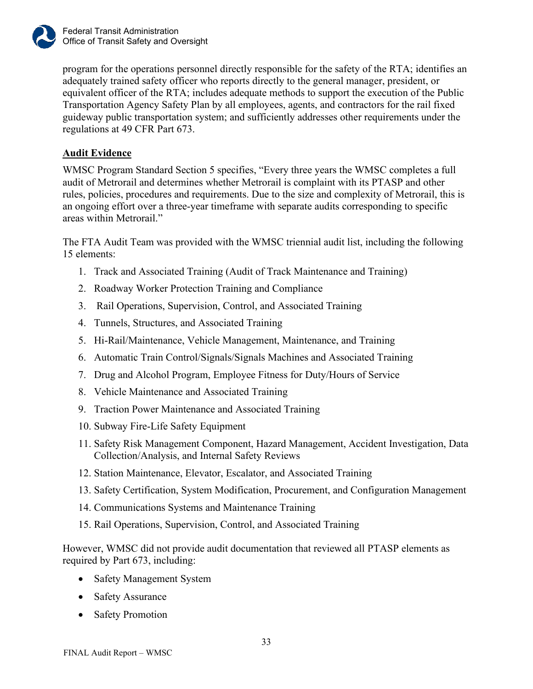

program for the operations personnel directly responsible for the safety of the RTA; identifies an adequately trained safety officer who reports directly to the general manager, president, or equivalent officer of the RTA; includes adequate methods to support the execution of the Public Transportation Agency Safety Plan by all employees, agents, and contractors for the rail fixed guideway public transportation system; and sufficiently addresses other requirements under the regulations at 49 CFR Part 673.

## **Audit Evidence**

WMSC Program Standard Section 5 specifies, "Every three years the WMSC completes a full audit of Metrorail and determines whether Metrorail is complaint with its PTASP and other rules, policies, procedures and requirements. Due to the size and complexity of Metrorail, this is an ongoing effort over a three-year timeframe with separate audits corresponding to specific areas within Metrorail."

The FTA Audit Team was provided with the WMSC triennial audit list, including the following 15 elements:

- 1. Track and Associated Training (Audit of Track Maintenance and Training)
- 2. Roadway Worker Protection Training and Compliance
- 3. Rail Operations, Supervision, Control, and Associated Training
- 4. Tunnels, Structures, and Associated Training
- 5. Hi-Rail/Maintenance, Vehicle Management, Maintenance, and Training
- 6. Automatic Train Control/Signals/Signals Machines and Associated Training
- 7. Drug and Alcohol Program, Employee Fitness for Duty/Hours of Service
- 8. Vehicle Maintenance and Associated Training
- 9. Traction Power Maintenance and Associated Training
- 10. Subway Fire-Life Safety Equipment
- 11. Safety Risk Management Component, Hazard Management, Accident Investigation, Data Collection/Analysis, and Internal Safety Reviews
- 12. Station Maintenance, Elevator, Escalator, and Associated Training
- 13. Safety Certification, System Modification, Procurement, and Configuration Management
- 14. Communications Systems and Maintenance Training
- 15. Rail Operations, Supervision, Control, and Associated Training

However, WMSC did not provide audit documentation that reviewed all PTASP elements as required by Part 673, including:

- Safety Management System
- Safety Assurance
- Safety Promotion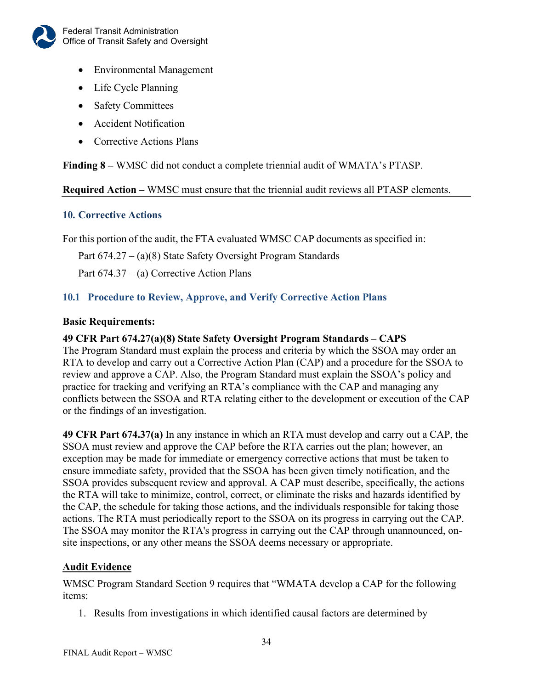

- Environmental Management
- Life Cycle Planning
- Safety Committees
- Accident Notification
- Corrective Actions Plans

**Finding 8 –** WMSC did not conduct a complete triennial audit of WMATA's PTASP.

#### **Required Action –** WMSC must ensure that the triennial audit reviews all PTASP elements.

## <span id="page-36-0"></span>**10. Corrective Actions**

For this portion of the audit, the FTA evaluated WMSC CAP documents as specified in:

Part 674.27 – (a)(8) State Safety Oversight Program Standards

Part 674.37 – (a) Corrective Action Plans

## <span id="page-36-1"></span>**10.1 Procedure to Review, Approve, and Verify Corrective Action Plans**

#### **Basic Requirements:**

## **49 CFR Part 674.27(a)(8) State Safety Oversight Program Standards – CAPS**

The Program Standard must explain the process and criteria by which the SSOA may order an RTA to develop and carry out a Corrective Action Plan (CAP) and a procedure for the SSOA to review and approve a CAP. Also, the Program Standard must explain the SSOA's policy and practice for tracking and verifying an RTA's compliance with the CAP and managing any conflicts between the SSOA and RTA relating either to the development or execution of the CAP or the findings of an investigation.

**49 CFR Part 674.37(a)** In any instance in which an RTA must develop and carry out a CAP, the SSOA must review and approve the CAP before the RTA carries out the plan; however, an exception may be made for immediate or emergency corrective actions that must be taken to ensure immediate safety, provided that the SSOA has been given timely notification, and the SSOA provides subsequent review and approval. A CAP must describe, specifically, the actions the RTA will take to minimize, control, correct, or eliminate the risks and hazards identified by the CAP, the schedule for taking those actions, and the individuals responsible for taking those actions. The RTA must periodically report to the SSOA on its progress in carrying out the CAP. The SSOA may monitor the RTA's progress in carrying out the CAP through unannounced, onsite inspections, or any other means the SSOA deems necessary or appropriate.

## **Audit Evidence**

WMSC Program Standard Section 9 requires that "WMATA develop a CAP for the following items:

1. Results from investigations in which identified causal factors are determined by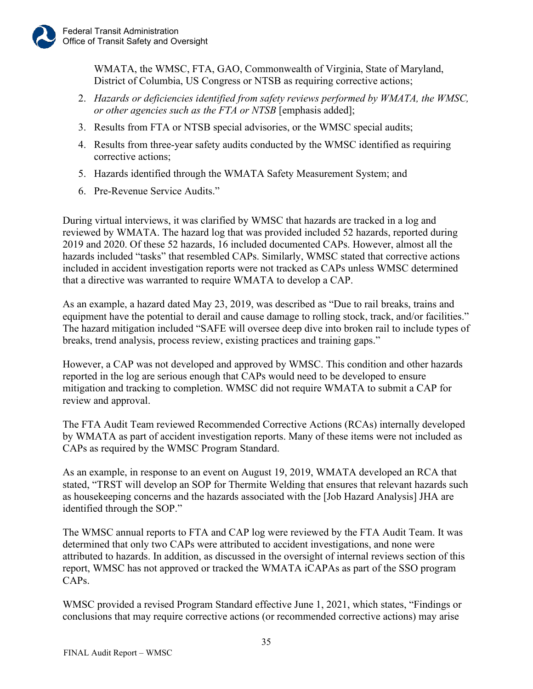WMATA, the WMSC, FTA, GAO, Commonwealth of Virginia, State of Maryland, District of Columbia, US Congress or NTSB as requiring corrective actions;

- 2. *Hazards or deficiencies identified from safety reviews performed by WMATA, the WMSC, or other agencies such as the FTA or NTSB* [emphasis added];
- 3. Results from FTA or NTSB special advisories, or the WMSC special audits;
- 4. Results from three-year safety audits conducted by the WMSC identified as requiring corrective actions;
- 5. Hazards identified through the WMATA Safety Measurement System; and
- 6. Pre-Revenue Service Audits."

During virtual interviews, it was clarified by WMSC that hazards are tracked in a log and reviewed by WMATA. The hazard log that was provided included 52 hazards, reported during 2019 and 2020. Of these 52 hazards, 16 included documented CAPs. However, almost all the hazards included "tasks" that resembled CAPs. Similarly, WMSC stated that corrective actions included in accident investigation reports were not tracked as CAPs unless WMSC determined that a directive was warranted to require WMATA to develop a CAP.

As an example, a hazard dated May 23, 2019, was described as "Due to rail breaks, trains and equipment have the potential to derail and cause damage to rolling stock, track, and/or facilities." The hazard mitigation included "SAFE will oversee deep dive into broken rail to include types of breaks, trend analysis, process review, existing practices and training gaps."

However, a CAP was not developed and approved by WMSC. This condition and other hazards reported in the log are serious enough that CAPs would need to be developed to ensure mitigation and tracking to completion. WMSC did not require WMATA to submit a CAP for review and approval.

The FTA Audit Team reviewed Recommended Corrective Actions (RCAs) internally developed by WMATA as part of accident investigation reports. Many of these items were not included as CAPs as required by the WMSC Program Standard.

As an example, in response to an event on August 19, 2019, WMATA developed an RCA that stated, "TRST will develop an SOP for Thermite Welding that ensures that relevant hazards such as housekeeping concerns and the hazards associated with the [Job Hazard Analysis] JHA are identified through the SOP."

The WMSC annual reports to FTA and CAP log were reviewed by the FTA Audit Team. It was determined that only two CAPs were attributed to accident investigations, and none were attributed to hazards. In addition, as discussed in the oversight of internal reviews section of this report, WMSC has not approved or tracked the WMATA iCAPAs as part of the SSO program CAPs.

WMSC provided a revised Program Standard effective June 1, 2021, which states, "Findings or conclusions that may require corrective actions (or recommended corrective actions) may arise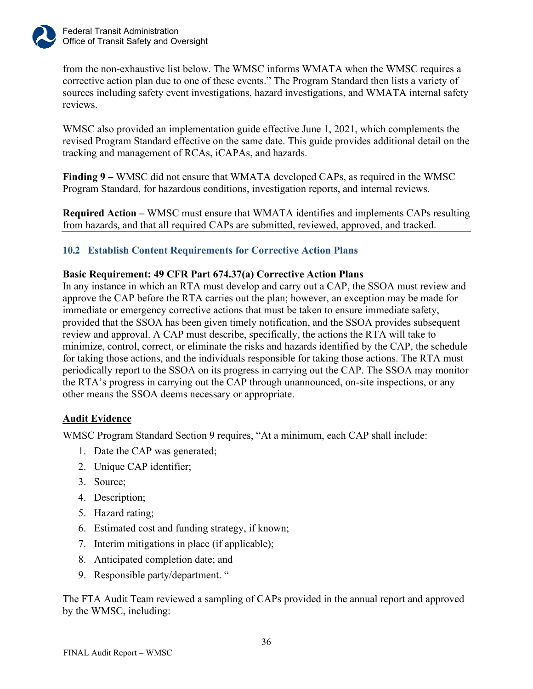

from the non-exhaustive list below. The WMSC informs WMATA when the WMSC requires a corrective action plan due to one of these events." The Program Standard then lists a variety of sources including safety event investigations, hazard investigations, and WMATA internal safety reviews.

WMSC also provided an implementation guide effective June 1, 2021, which complements the revised Program Standard effective on the same date. This guide provides additional detail on the tracking and management of RCAs, iCAPAs, and hazards.

**Finding 9 –** WMSC did not ensure that WMATA developed CAPs, as required in the WMSC Program Standard, for hazardous conditions, investigation reports, and internal reviews.

**Required Action –** WMSC must ensure that WMATA identifies and implements CAPs resulting from hazards, and that all required CAPs are submitted, reviewed, approved, and tracked.

## <span id="page-38-0"></span>**10.2 Establish Content Requirements for Corrective Action Plans**

## **Basic Requirement: 49 CFR Part 674.37(a) Corrective Action Plans**

In any instance in which an RTA must develop and carry out a CAP, the SSOA must review and approve the CAP before the RTA carries out the plan; however, an exception may be made for immediate or emergency corrective actions that must be taken to ensure immediate safety, provided that the SSOA has been given timely notification, and the SSOA provides subsequent review and approval. A CAP must describe, specifically, the actions the RTA will take to minimize, control, correct, or eliminate the risks and hazards identified by the CAP, the schedule for taking those actions, and the individuals responsible for taking those actions. The RTA must periodically report to the SSOA on its progress in carrying out the CAP. The SSOA may monitor the RTA's progress in carrying out the CAP through unannounced, on-site inspections, or any other means the SSOA deems necessary or appropriate.

## **Audit Evidence**

WMSC Program Standard Section 9 requires, "At a minimum, each CAP shall include:

- 1. Date the CAP was generated;
- 2. Unique CAP identifier;
- 3. Source;
- 4. Description;
- 5. Hazard rating;
- 6. Estimated cost and funding strategy, if known;
- 7. Interim mitigations in place (if applicable);
- 8. Anticipated completion date; and
- 9. Responsible party/department. "

The FTA Audit Team reviewed a sampling of CAPs provided in the annual report and approved by the WMSC, including: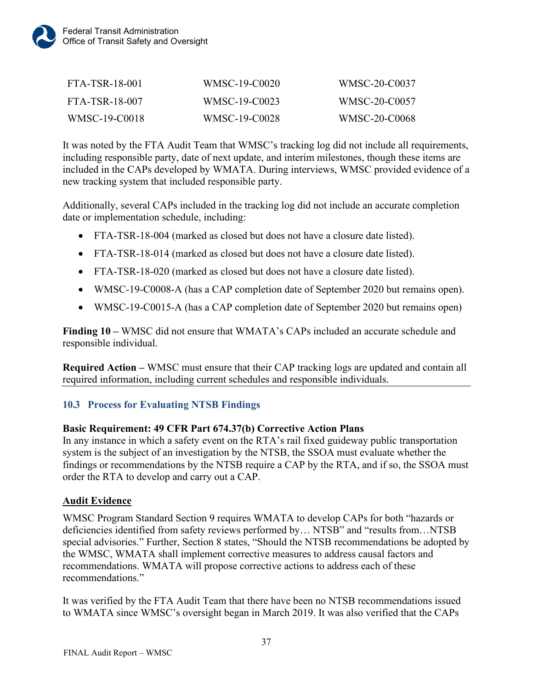

| FTA-TSR-18-001 | WMSC-19-C0020 | WMSC-20-C0037 |
|----------------|---------------|---------------|
| FTA-TSR-18-007 | WMSC-19-C0023 | WMSC-20-C0057 |
| WMSC-19-C0018  | WMSC-19-C0028 | WMSC-20-C0068 |

It was noted by the FTA Audit Team that WMSC's tracking log did not include all requirements, including responsible party, date of next update, and interim milestones, though these items are included in the CAPs developed by WMATA. During interviews, WMSC provided evidence of a new tracking system that included responsible party.

Additionally, several CAPs included in the tracking log did not include an accurate completion date or implementation schedule, including:

- FTA-TSR-18-004 (marked as closed but does not have a closure date listed).
- FTA-TSR-18-014 (marked as closed but does not have a closure date listed).
- FTA-TSR-18-020 (marked as closed but does not have a closure date listed).
- WMSC-19-C0008-A (has a CAP completion date of September 2020 but remains open).
- WMSC-19-C0015-A (has a CAP completion date of September 2020 but remains open)

**Finding 10 –** WMSC did not ensure that WMATA's CAPs included an accurate schedule and responsible individual.

**Required Action –** WMSC must ensure that their CAP tracking logs are updated and contain all required information, including current schedules and responsible individuals.

#### <span id="page-39-0"></span>**10.3 Process for Evaluating NTSB Findings**

#### **Basic Requirement: 49 CFR Part 674.37(b) Corrective Action Plans**

In any instance in which a safety event on the RTA's rail fixed guideway public transportation system is the subject of an investigation by the NTSB, the SSOA must evaluate whether the findings or recommendations by the NTSB require a CAP by the RTA, and if so, the SSOA must order the RTA to develop and carry out a CAP.

#### **Audit Evidence**

WMSC Program Standard Section 9 requires WMATA to develop CAPs for both "hazards or deficiencies identified from safety reviews performed by… NTSB" and "results from…NTSB special advisories." Further, Section 8 states, "Should the NTSB recommendations be adopted by the WMSC, WMATA shall implement corrective measures to address causal factors and recommendations. WMATA will propose corrective actions to address each of these recommendations."

It was verified by the FTA Audit Team that there have been no NTSB recommendations issued to WMATA since WMSC's oversight began in March 2019. It was also verified that the CAPs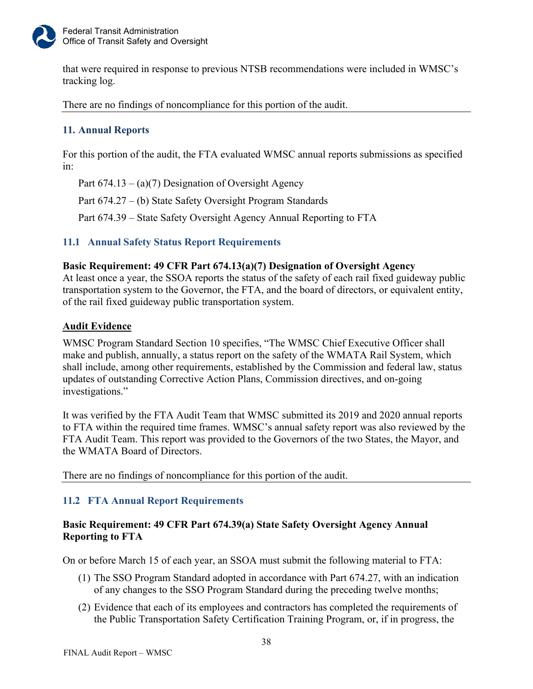

that were required in response to previous NTSB recommendations were included in WMSC's tracking log.

There are no findings of noncompliance for this portion of the audit.

## <span id="page-40-0"></span>**11. Annual Reports**

For this portion of the audit, the FTA evaluated WMSC annual reports submissions as specified in:

Part  $674.13 - (a)(7)$  Designation of Oversight Agency

Part 674.27 – (b) State Safety Oversight Program Standards

Part 674.39 – State Safety Oversight Agency Annual Reporting to FTA

## <span id="page-40-1"></span>**11.1 Annual Safety Status Report Requirements**

## **Basic Requirement: 49 CFR Part 674.13(a)(7) Designation of Oversight Agency**

At least once a year, the SSOA reports the status of the safety of each rail fixed guideway public transportation system to the Governor, the FTA, and the board of directors, or equivalent entity, of the rail fixed guideway public transportation system.

#### **Audit Evidence**

WMSC Program Standard Section 10 specifies, "The WMSC Chief Executive Officer shall make and publish, annually, a status report on the safety of the WMATA Rail System, which shall include, among other requirements, established by the Commission and federal law, status updates of outstanding Corrective Action Plans, Commission directives, and on-going investigations."

It was verified by the FTA Audit Team that WMSC submitted its 2019 and 2020 annual reports to FTA within the required time frames. WMSC's annual safety report was also reviewed by the FTA Audit Team. This report was provided to the Governors of the two States, the Mayor, and the WMATA Board of Directors.

There are no findings of noncompliance for this portion of the audit.

## <span id="page-40-2"></span>**11.2 FTA Annual Report Requirements**

## **Basic Requirement: 49 CFR Part 674.39(a) State Safety Oversight Agency Annual Reporting to FTA**

On or before March 15 of each year, an SSOA must submit the following material to FTA:

- (1) The SSO Program Standard adopted in accordance with Part 674.27, with an indication of any changes to the SSO Program Standard during the preceding twelve months;
- (2) Evidence that each of its employees and contractors has completed the requirements of the Public Transportation Safety Certification Training Program, or, if in progress, the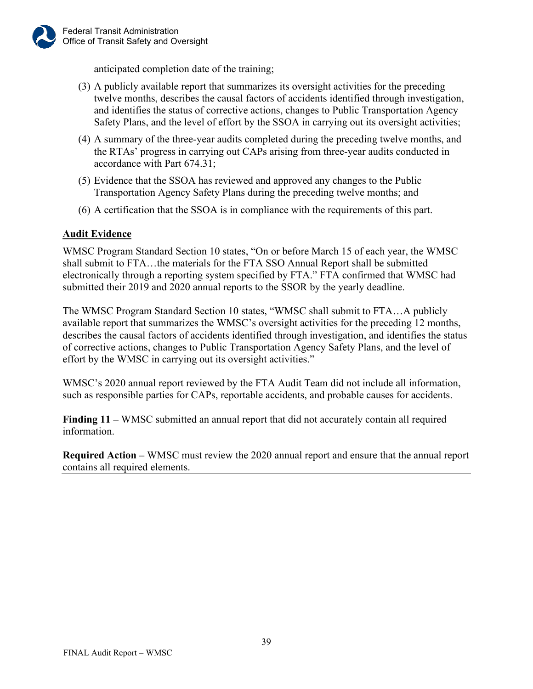anticipated completion date of the training;

- (3) A publicly available report that summarizes its oversight activities for the preceding twelve months, describes the causal factors of accidents identified through investigation, and identifies the status of corrective actions, changes to Public Transportation Agency Safety Plans, and the level of effort by the SSOA in carrying out its oversight activities;
- (4) A summary of the three-year audits completed during the preceding twelve months, and the RTAs' progress in carrying out CAPs arising from three-year audits conducted in accordance with Part 674.31;
- (5) Evidence that the SSOA has reviewed and approved any changes to the Public Transportation Agency Safety Plans during the preceding twelve months; and
- (6) A certification that the SSOA is in compliance with the requirements of this part.

## **Audit Evidence**

WMSC Program Standard Section 10 states, "On or before March 15 of each year, the WMSC shall submit to FTA…the materials for the FTA SSO Annual Report shall be submitted electronically through a reporting system specified by FTA." FTA confirmed that WMSC had submitted their 2019 and 2020 annual reports to the SSOR by the yearly deadline.

The WMSC Program Standard Section 10 states, "WMSC shall submit to FTA…A publicly available report that summarizes the WMSC's oversight activities for the preceding 12 months, describes the causal factors of accidents identified through investigation, and identifies the status of corrective actions, changes to Public Transportation Agency Safety Plans, and the level of effort by the WMSC in carrying out its oversight activities."

WMSC's 2020 annual report reviewed by the FTA Audit Team did not include all information, such as responsible parties for CAPs, reportable accidents, and probable causes for accidents.

**Finding 11 –** WMSC submitted an annual report that did not accurately contain all required information.

**Required Action –** WMSC must review the 2020 annual report and ensure that the annual report contains all required elements.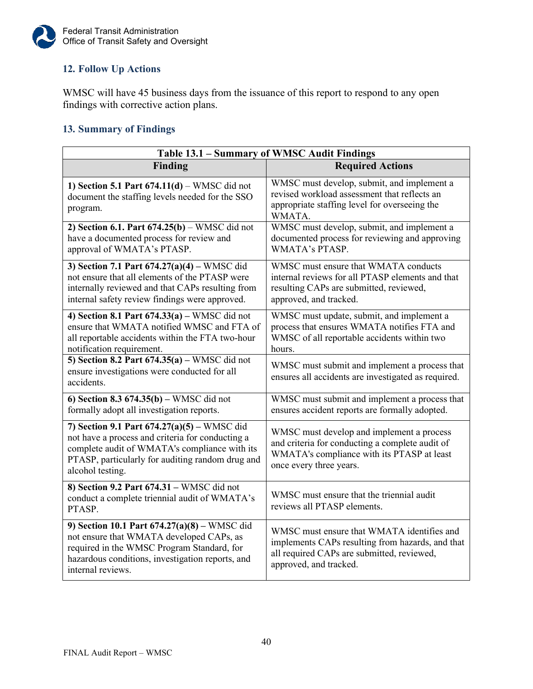

## <span id="page-42-0"></span>**12. Follow Up Actions**

WMSC will have 45 business days from the issuance of this report to respond to any open findings with corrective action plans.

## <span id="page-42-1"></span>**13. Summary of Findings**

| Table 13.1 - Summary of WMSC Audit Findings                                                                                                                                                                                |                                                                                                                                                                        |  |
|----------------------------------------------------------------------------------------------------------------------------------------------------------------------------------------------------------------------------|------------------------------------------------------------------------------------------------------------------------------------------------------------------------|--|
| <b>Finding</b>                                                                                                                                                                                                             | <b>Required Actions</b>                                                                                                                                                |  |
| 1) Section 5.1 Part $674.11(d)$ – WMSC did not<br>document the staffing levels needed for the SSO<br>program.                                                                                                              | WMSC must develop, submit, and implement a<br>revised workload assessment that reflects an<br>appropriate staffing level for overseeing the<br>WMATA.                  |  |
| 2) Section 6.1. Part $674.25(b)$ – WMSC did not<br>have a documented process for review and<br>approval of WMATA's PTASP.                                                                                                  | WMSC must develop, submit, and implement a<br>documented process for reviewing and approving<br>WMATA's PTASP.                                                         |  |
| 3) Section 7.1 Part $674.27(a)(4)$ – WMSC did<br>not ensure that all elements of the PTASP were<br>internally reviewed and that CAPs resulting from<br>internal safety review findings were approved.                      | WMSC must ensure that WMATA conducts<br>internal reviews for all PTASP elements and that<br>resulting CAPs are submitted, reviewed,<br>approved, and tracked.          |  |
| 4) Section 8.1 Part $674.33(a)$ – WMSC did not<br>ensure that WMATA notified WMSC and FTA of<br>all reportable accidents within the FTA two-hour<br>notification requirement.                                              | WMSC must update, submit, and implement a<br>process that ensures WMATA notifies FTA and<br>WMSC of all reportable accidents within two<br>hours.                      |  |
| 5) Section 8.2 Part $674.35(a)$ – WMSC did not<br>ensure investigations were conducted for all<br>accidents.                                                                                                               | WMSC must submit and implement a process that<br>ensures all accidents are investigated as required.                                                                   |  |
| 6) Section 8.3 $674.35(b)$ – WMSC did not<br>formally adopt all investigation reports.                                                                                                                                     | WMSC must submit and implement a process that<br>ensures accident reports are formally adopted.                                                                        |  |
| 7) Section 9.1 Part $674.27(a)(5)$ – WMSC did<br>not have a process and criteria for conducting a<br>complete audit of WMATA's compliance with its<br>PTASP, particularly for auditing random drug and<br>alcohol testing. | WMSC must develop and implement a process<br>and criteria for conducting a complete audit of<br>WMATA's compliance with its PTASP at least<br>once every three years.  |  |
| 8) Section 9.2 Part 674.31 - WMSC did not<br>conduct a complete triennial audit of WMATA's<br>PTASP.                                                                                                                       | WMSC must ensure that the triennial audit<br>reviews all PTASP elements.                                                                                               |  |
| 9) Section 10.1 Part $674.27(a)(8)$ – WMSC did<br>not ensure that WMATA developed CAPs, as<br>required in the WMSC Program Standard, for<br>hazardous conditions, investigation reports, and<br>internal reviews.          | WMSC must ensure that WMATA identifies and<br>implements CAPs resulting from hazards, and that<br>all required CAPs are submitted, reviewed,<br>approved, and tracked. |  |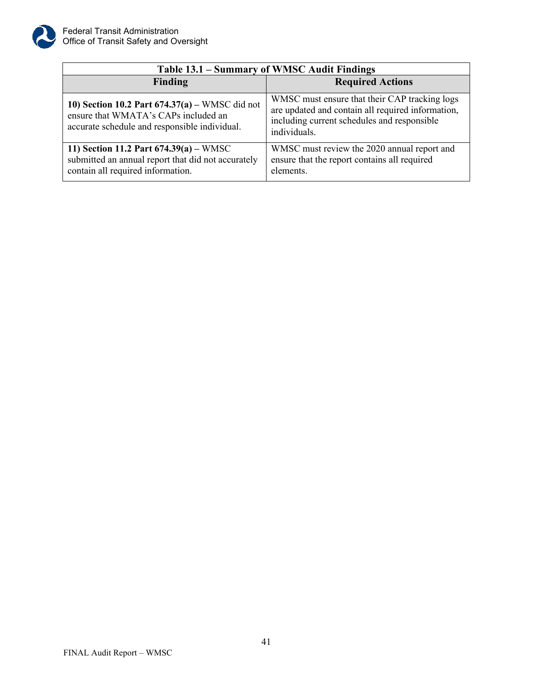

| Table 13.1 - Summary of WMSC Audit Findings                                                                                               |                                                                                                                                                                   |  |
|-------------------------------------------------------------------------------------------------------------------------------------------|-------------------------------------------------------------------------------------------------------------------------------------------------------------------|--|
| Finding                                                                                                                                   | <b>Required Actions</b>                                                                                                                                           |  |
| 10) Section 10.2 Part $674.37(a)$ – WMSC did not<br>ensure that WMATA's CAPs included an<br>accurate schedule and responsible individual. | WMSC must ensure that their CAP tracking logs<br>are updated and contain all required information,<br>including current schedules and responsible<br>individuals. |  |
| 11) Section 11.2 Part $674.39(a) - WMSC$<br>submitted an annual report that did not accurately<br>contain all required information.       | WMSC must review the 2020 annual report and<br>ensure that the report contains all required<br>elements.                                                          |  |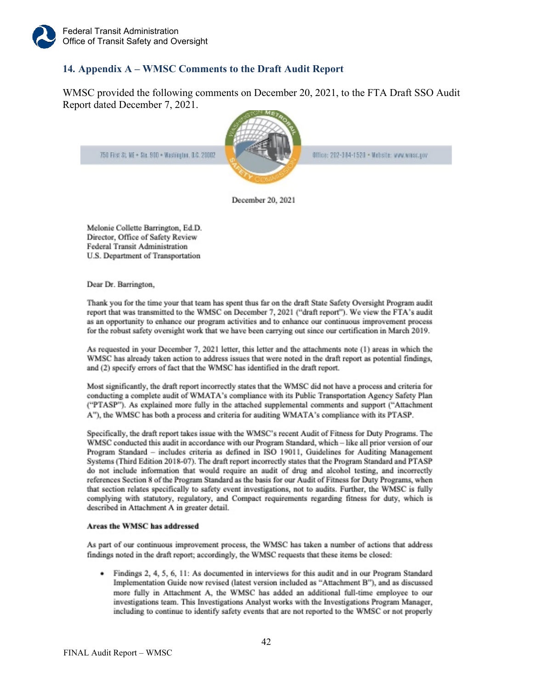#### <span id="page-44-0"></span>**14. Appendix A – WMSC Comments to the Draft Audit Report**

WMSC provided the following comments on December 20, 2021, to the FTA Draft SSO Audit Report dated December 7, 2021.

750 First St. NE + Ste. 900 + Washington, B.C. 20002



Office: 202-184-1520 . Mebsite: www.wresc.cov

December 20, 2021

Melonie Collette Barrington, Ed.D. Director, Office of Safety Review **Federal Transit Administration** U.S. Department of Transportation

Dear Dr. Barrington,

Thank you for the time your that team has spent thus far on the draft State Safety Oversight Program audit report that was transmitted to the WMSC on December 7, 2021 ("draft report"). We view the FTA's audit as an opportunity to enhance our program activities and to enhance our continuous improvement process for the robust safety oversight work that we have been carrying out since our certification in March 2019.

As requested in your December 7, 2021 letter, this letter and the attachments note (1) areas in which the WMSC has already taken action to address issues that were noted in the draft report as potential findings, and (2) specify errors of fact that the WMSC has identified in the draft report.

Most significantly, the draft report incorrectly states that the WMSC did not have a process and criteria for conducting a complete audit of WMATA's compliance with its Public Transportation Agency Safety Plan ("PTASP"). As explained more fully in the attached supplemental comments and support ("Attachment A"), the WMSC has both a process and criteria for auditing WMATA's compliance with its PTASP.

Specifically, the draft report takes issue with the WMSC's recent Audit of Fitness for Duty Programs. The WMSC conducted this audit in accordance with our Program Standard, which - like all prior version of our Program Standard - includes criteria as defined in ISO 19011, Guidelines for Auditing Management Systems (Third Edition 2018-07). The draft report incorrectly states that the Program Standard and PTASP do not include information that would require an audit of drug and alcohol testing, and incorrectly references Section 8 of the Program Standard as the basis for our Audit of Fitness for Duty Programs, when that section relates specifically to safety event investigations, not to audits. Further, the WMSC is fully complying with statutory, regulatory, and Compact requirements regarding fitness for duty, which is described in Attachment A in greater detail.

#### Areas the WMSC has addressed

As part of our continuous improvement process, the WMSC has taken a number of actions that address findings noted in the draft report; accordingly, the WMSC requests that these items be closed:

Findings 2, 4, 5, 6, 11: As documented in interviews for this audit and in our Program Standard Implementation Guide now revised (latest version included as "Attachment B"), and as discussed more fully in Attachment A, the WMSC has added an additional full-time employee to our investigations team. This Investigations Analyst works with the Investigations Program Manager, including to continue to identify safety events that are not reported to the WMSC or not properly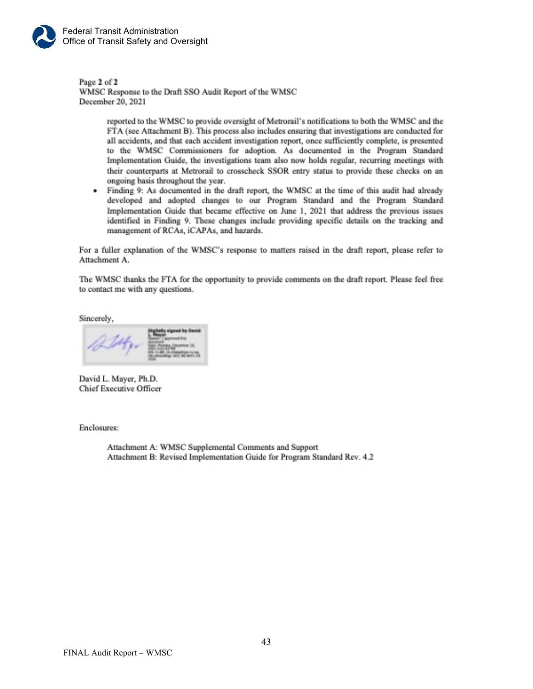

Page 2 of 2 WMSC Response to the Draft SSO Audit Report of the WMSC December 20, 2021

> reported to the WMSC to provide oversight of Metrorail's notifications to both the WMSC and the FTA (see Attachment B). This process also includes ensuring that investigations are conducted for all accidents, and that each accident investigation report, once sufficiently complete, is presented to the WMSC Commissioners for adoption. As documented in the Program Standard Implementation Guide, the investigations team also now holds regular, recurring meetings with their counterparts at Metrorail to crosscheck SSOR entry status to provide these checks on an ongoing basis throughout the year.

Finding 9: As documented in the draft report, the WMSC at the time of this audit had already developed and adopted changes to our Program Standard and the Program Standard Implementation Guide that became effective on June 1, 2021 that address the previous issues identified in Finding 9. These changes include providing specific details on the tracking and management of RCAs, iCAPAs, and hazards.

For a fuller explanation of the WMSC's response to matters raised in the draft report, please refer to Attachment A.

The WMSC thanks the FTA for the opportunity to provide comments on the draft report. Please feel free to contact me with any questions.

Sincerely,

David L. Mayer, Ph.D. **Chief Executive Officer** 

Enclosures:

Attachment A: WMSC Supplemental Comments and Support Attachment B: Revised Implementation Guide for Program Standard Rev. 4.2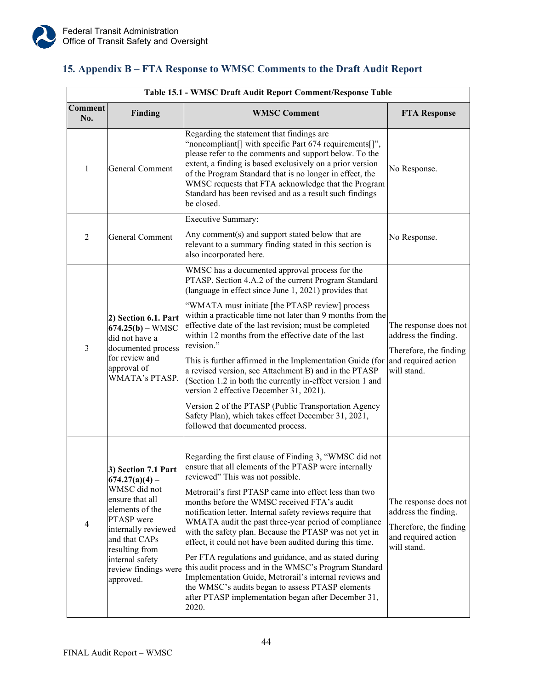## <span id="page-46-0"></span>**15. Appendix B – FTA Response to WMSC Comments to the Draft Audit Report**

| Table 15.1 - WMSC Draft Audit Report Comment/Response Table |                                                                                                                                                                                                                               |                                                                                                                                                                                                                                                                                                                                                                                                                                                                                                                                                                                                                                                                                                                                                                                                          |                                                                                                               |  |  |
|-------------------------------------------------------------|-------------------------------------------------------------------------------------------------------------------------------------------------------------------------------------------------------------------------------|----------------------------------------------------------------------------------------------------------------------------------------------------------------------------------------------------------------------------------------------------------------------------------------------------------------------------------------------------------------------------------------------------------------------------------------------------------------------------------------------------------------------------------------------------------------------------------------------------------------------------------------------------------------------------------------------------------------------------------------------------------------------------------------------------------|---------------------------------------------------------------------------------------------------------------|--|--|
| Comment<br>No.                                              | Finding                                                                                                                                                                                                                       | <b>WMSC Comment</b>                                                                                                                                                                                                                                                                                                                                                                                                                                                                                                                                                                                                                                                                                                                                                                                      | <b>FTA Response</b>                                                                                           |  |  |
| 1                                                           | General Comment                                                                                                                                                                                                               | Regarding the statement that findings are<br>"noncompliant[] with specific Part 674 requirements[]",<br>please refer to the comments and support below. To the<br>extent, a finding is based exclusively on a prior version<br>of the Program Standard that is no longer in effect, the<br>WMSC requests that FTA acknowledge that the Program<br>Standard has been revised and as a result such findings<br>be closed.                                                                                                                                                                                                                                                                                                                                                                                  | No Response.                                                                                                  |  |  |
| $\overline{2}$                                              | General Comment                                                                                                                                                                                                               | <b>Executive Summary:</b><br>Any comment(s) and support stated below that are<br>relevant to a summary finding stated in this section is<br>also incorporated here.                                                                                                                                                                                                                                                                                                                                                                                                                                                                                                                                                                                                                                      | No Response.                                                                                                  |  |  |
| 3                                                           | 2) Section 6.1. Part<br>$674.25(b) - WMSC$<br>did not have a<br>documented process<br>for review and<br>approval of<br>WMATA's PTASP.                                                                                         | WMSC has a documented approval process for the<br>PTASP. Section 4.A.2 of the current Program Standard<br>(language in effect since June 1, 2021) provides that<br>"WMATA must initiate [the PTASP review] process<br>within a practicable time not later than 9 months from the<br>effective date of the last revision; must be completed<br>within 12 months from the effective date of the last<br>revision."<br>This is further affirmed in the Implementation Guide (for<br>a revised version, see Attachment B) and in the PTASP<br>(Section 1.2 in both the currently in-effect version 1 and<br>version 2 effective December 31, 2021).<br>Version 2 of the PTASP (Public Transportation Agency<br>Safety Plan), which takes effect December 31, 2021,<br>followed that documented process.      | The response does not<br>address the finding.<br>Therefore, the finding<br>and required action<br>will stand. |  |  |
| $\overline{4}$                                              | 3) Section 7.1 Part<br>$674.27(a)(4)$ –<br>WMSC did not<br>ensure that all<br>elements of the<br>PTASP were<br>internally reviewed<br>and that CAPs<br>resulting from<br>internal safety<br>review findings were<br>approved. | Regarding the first clause of Finding 3, "WMSC did not<br>ensure that all elements of the PTASP were internally<br>reviewed" This was not possible.<br>Metrorail's first PTASP came into effect less than two<br>months before the WMSC received FTA's audit<br>notification letter. Internal safety reviews require that<br>WMATA audit the past three-year period of compliance<br>with the safety plan. Because the PTASP was not yet in<br>effect, it could not have been audited during this time.<br>Per FTA regulations and guidance, and as stated during<br>this audit process and in the WMSC's Program Standard<br>Implementation Guide, Metrorail's internal reviews and<br>the WMSC's audits began to assess PTASP elements<br>after PTASP implementation began after December 31,<br>2020. | The response does not<br>address the finding.<br>Therefore, the finding<br>and required action<br>will stand. |  |  |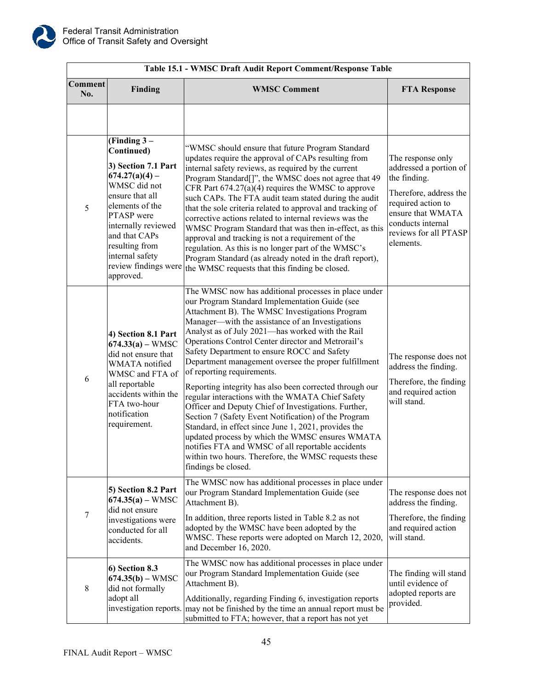

| Table 15.1 - WMSC Draft Audit Report Comment/Response Table |                                                                                                                                                                                                                                                              |                                                                                                                                                                                                                                                                                                                                                                                                                                                                                                                                                                                                                                                                                                                                                                                                                                                                                                                                           |                                                                                                                                                                                             |  |  |  |
|-------------------------------------------------------------|--------------------------------------------------------------------------------------------------------------------------------------------------------------------------------------------------------------------------------------------------------------|-------------------------------------------------------------------------------------------------------------------------------------------------------------------------------------------------------------------------------------------------------------------------------------------------------------------------------------------------------------------------------------------------------------------------------------------------------------------------------------------------------------------------------------------------------------------------------------------------------------------------------------------------------------------------------------------------------------------------------------------------------------------------------------------------------------------------------------------------------------------------------------------------------------------------------------------|---------------------------------------------------------------------------------------------------------------------------------------------------------------------------------------------|--|--|--|
| Comment<br>No.                                              | Finding                                                                                                                                                                                                                                                      | <b>WMSC Comment</b>                                                                                                                                                                                                                                                                                                                                                                                                                                                                                                                                                                                                                                                                                                                                                                                                                                                                                                                       | <b>FTA Response</b>                                                                                                                                                                         |  |  |  |
|                                                             |                                                                                                                                                                                                                                                              |                                                                                                                                                                                                                                                                                                                                                                                                                                                                                                                                                                                                                                                                                                                                                                                                                                                                                                                                           |                                                                                                                                                                                             |  |  |  |
| 5                                                           | (Finding $3-$<br>Continued)<br>3) Section 7.1 Part<br>$674.27(a)(4)$ –<br>WMSC did not<br>ensure that all<br>elements of the<br>PTASP were<br>internally reviewed<br>and that CAPs<br>resulting from<br>internal safety<br>review findings were<br>approved. | "WMSC should ensure that future Program Standard<br>updates require the approval of CAPs resulting from<br>internal safety reviews, as required by the current<br>Program Standard[]", the WMSC does not agree that 49<br>CFR Part $674.27(a)(4)$ requires the WMSC to approve<br>such CAPs. The FTA audit team stated during the audit<br>that the sole criteria related to approval and tracking of<br>corrective actions related to internal reviews was the<br>WMSC Program Standard that was then in-effect, as this<br>approval and tracking is not a requirement of the<br>regulation. As this is no longer part of the WMSC's<br>Program Standard (as already noted in the draft report),<br>the WMSC requests that this finding be closed.                                                                                                                                                                                       | The response only<br>addressed a portion of<br>the finding.<br>Therefore, address the<br>required action to<br>ensure that WMATA<br>conducts internal<br>reviews for all PTASP<br>elements. |  |  |  |
| 6                                                           | 4) Section 8.1 Part<br>$674.33(a) - WMSC$<br>did not ensure that<br>WMATA notified<br>WMSC and FTA of<br>all reportable<br>accidents within the<br>FTA two-hour<br>notification<br>requirement.                                                              | The WMSC now has additional processes in place under<br>our Program Standard Implementation Guide (see<br>Attachment B). The WMSC Investigations Program<br>Manager-with the assistance of an Investigations<br>Analyst as of July 2021-has worked with the Rail<br>Operations Control Center director and Metrorail's<br>Safety Department to ensure ROCC and Safety<br>Department management oversee the proper fulfillment<br>of reporting requirements.<br>Reporting integrity has also been corrected through our<br>regular interactions with the WMATA Chief Safety<br>Officer and Deputy Chief of Investigations. Further,<br>Section 7 (Safety Event Notification) of the Program<br>Standard, in effect since June 1, 2021, provides the<br>updated process by which the WMSC ensures WMATA<br>notifies FTA and WMSC of all reportable accidents<br>within two hours. Therefore, the WMSC requests these<br>findings be closed. | The response does not<br>address the finding.<br>Therefore, the finding<br>and required action<br>will stand.                                                                               |  |  |  |
| 7                                                           | 5) Section 8.2 Part<br>$674.35(a) - WMSC$<br>did not ensure<br>investigations were<br>conducted for all<br>accidents.                                                                                                                                        | The WMSC now has additional processes in place under<br>our Program Standard Implementation Guide (see<br>Attachment B).<br>In addition, three reports listed in Table 8.2 as not<br>adopted by the WMSC have been adopted by the<br>WMSC. These reports were adopted on March 12, 2020,                                                                                                                                                                                                                                                                                                                                                                                                                                                                                                                                                                                                                                                  | The response does not<br>address the finding.<br>Therefore, the finding<br>and required action<br>will stand.                                                                               |  |  |  |
| 8                                                           | 6) Section 8.3<br>$674.35(b) - WMSC$<br>did not formally<br>adopt all                                                                                                                                                                                        | and December 16, 2020.<br>The WMSC now has additional processes in place under<br>our Program Standard Implementation Guide (see<br>Attachment B).<br>Additionally, regarding Finding 6, investigation reports<br>investigation reports. may not be finished by the time an annual report must be<br>submitted to FTA; however, that a report has not yet                                                                                                                                                                                                                                                                                                                                                                                                                                                                                                                                                                                 | The finding will stand<br>until evidence of<br>adopted reports are<br>provided.                                                                                                             |  |  |  |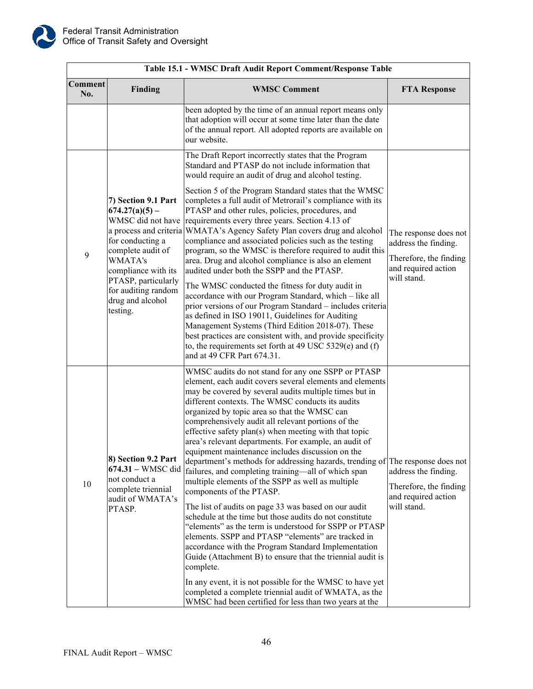

| Table 15.1 - WMSC Draft Audit Report Comment/Response Table |                                                                                                                                                                                                                                                        |                                                                                                                                                                                                                                                                                                                                                                                                                                                                                                                                                                                                                                                                                                                                                                                                                                                                                                                                                                                                                                                                                                                                                                                                                                                                                         |                                                                                                               |  |  |  |
|-------------------------------------------------------------|--------------------------------------------------------------------------------------------------------------------------------------------------------------------------------------------------------------------------------------------------------|-----------------------------------------------------------------------------------------------------------------------------------------------------------------------------------------------------------------------------------------------------------------------------------------------------------------------------------------------------------------------------------------------------------------------------------------------------------------------------------------------------------------------------------------------------------------------------------------------------------------------------------------------------------------------------------------------------------------------------------------------------------------------------------------------------------------------------------------------------------------------------------------------------------------------------------------------------------------------------------------------------------------------------------------------------------------------------------------------------------------------------------------------------------------------------------------------------------------------------------------------------------------------------------------|---------------------------------------------------------------------------------------------------------------|--|--|--|
| Comment<br>No.                                              | Finding                                                                                                                                                                                                                                                | <b>WMSC Comment</b>                                                                                                                                                                                                                                                                                                                                                                                                                                                                                                                                                                                                                                                                                                                                                                                                                                                                                                                                                                                                                                                                                                                                                                                                                                                                     | <b>FTA Response</b>                                                                                           |  |  |  |
|                                                             |                                                                                                                                                                                                                                                        | been adopted by the time of an annual report means only<br>that adoption will occur at some time later than the date<br>of the annual report. All adopted reports are available on<br>our website.                                                                                                                                                                                                                                                                                                                                                                                                                                                                                                                                                                                                                                                                                                                                                                                                                                                                                                                                                                                                                                                                                      |                                                                                                               |  |  |  |
| 9                                                           | 7) Section 9.1 Part<br>$674.27(a)(5)$ –<br>WMSC did not have<br>a process and criteria<br>for conducting a<br>complete audit of<br><b>WMATA's</b><br>compliance with its<br>PTASP, particularly<br>for auditing random<br>drug and alcohol<br>testing. | The Draft Report incorrectly states that the Program<br>Standard and PTASP do not include information that<br>would require an audit of drug and alcohol testing.<br>Section 5 of the Program Standard states that the WMSC<br>completes a full audit of Metrorail's compliance with its<br>PTASP and other rules, policies, procedures, and<br>requirements every three years. Section 4.13 of<br>WMATA's Agency Safety Plan covers drug and alcohol<br>compliance and associated policies such as the testing<br>program, so the WMSC is therefore required to audit this<br>area. Drug and alcohol compliance is also an element<br>audited under both the SSPP and the PTASP.<br>The WMSC conducted the fitness for duty audit in<br>accordance with our Program Standard, which - like all<br>prior versions of our Program Standard - includes criteria<br>as defined in ISO 19011, Guidelines for Auditing<br>Management Systems (Third Edition 2018-07). These<br>best practices are consistent with, and provide specificity<br>to, the requirements set forth at 49 USC 5329(e) and (f)<br>and at 49 CFR Part 674.31.                                                                                                                                                         | The response does not<br>address the finding.<br>Therefore, the finding<br>and required action<br>will stand. |  |  |  |
| $10\,$                                                      | 8) Section 9.2 Part<br>674.31 - WMSC did<br>not conduct a<br>complete triennial<br>audit of WMATA's<br>PTASP.                                                                                                                                          | WMSC audits do not stand for any one SSPP or PTASP<br>element, each audit covers several elements and elements<br>may be covered by several audits multiple times but in<br>different contexts. The WMSC conducts its audits<br>organized by topic area so that the WMSC can<br>comprehensively audit all relevant portions of the<br>effective safety plan(s) when meeting with that topic<br>area's relevant departments. For example, an audit of<br>equipment maintenance includes discussion on the<br>department's methods for addressing hazards, trending of The response does not<br>failures, and completing training-all of which span<br>multiple elements of the SSPP as well as multiple<br>components of the PTASP.<br>The list of audits on page 33 was based on our audit<br>schedule at the time but those audits do not constitute<br>"elements" as the term is understood for SSPP or PTASP<br>elements. SSPP and PTASP "elements" are tracked in<br>accordance with the Program Standard Implementation<br>Guide (Attachment B) to ensure that the triennial audit is<br>complete.<br>In any event, it is not possible for the WMSC to have yet<br>completed a complete triennial audit of WMATA, as the<br>WMSC had been certified for less than two years at the | address the finding.<br>Therefore, the finding<br>and required action<br>will stand.                          |  |  |  |